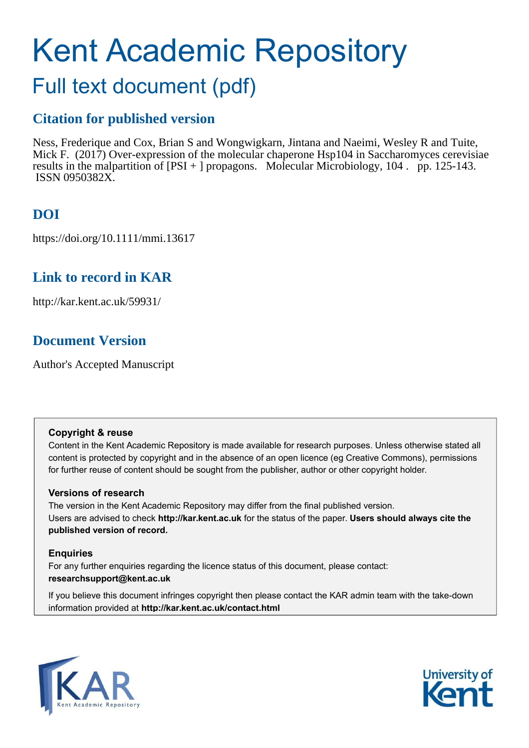# Kent Academic Repository

## Full text document (pdf)

## **Citation for published version**

Ness, Frederique and Cox, Brian S and Wongwigkarn, Jintana and Naeimi, Wesley R and Tuite, Mick F. (2017) Over-expression of the molecular chaperone Hsp104 in Saccharomyces cerevisiae results in the malpartition of [PSI + ] propagons. Molecular Microbiology, 104 . pp. 125-143. ISSN 0950382X.

## **DOI**

https://doi.org/10.1111/mmi.13617

## **Link to record in KAR**

http://kar.kent.ac.uk/59931/

## **Document Version**

Author's Accepted Manuscript

#### **Copyright & reuse**

Content in the Kent Academic Repository is made available for research purposes. Unless otherwise stated all content is protected by copyright and in the absence of an open licence (eg Creative Commons), permissions for further reuse of content should be sought from the publisher, author or other copyright holder.

#### **Versions of research**

The version in the Kent Academic Repository may differ from the final published version. Users are advised to check **http://kar.kent.ac.uk** for the status of the paper. **Users should always cite the published version of record.**

#### **Enquiries**

For any further enquiries regarding the licence status of this document, please contact: **researchsupport@kent.ac.uk**

If you believe this document infringes copyright then please contact the KAR admin team with the take-down information provided at **http://kar.kent.ac.uk/contact.html**



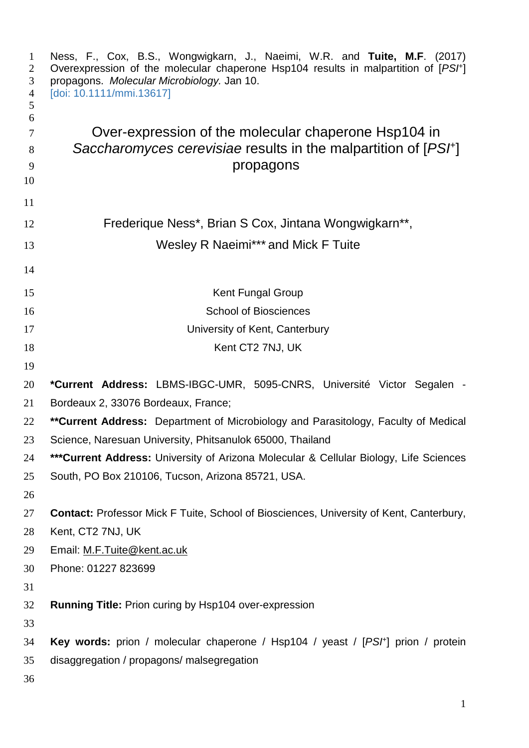| 1<br>$\overline{2}$<br>3<br>$\overline{4}$<br>5 | Ness, F., Cox, B.S., Wongwigkarn, J., Naeimi, W.R. and Tuite, M.F. (2017)<br>Overexpression of the molecular chaperone Hsp104 results in malpartition of [PS/+]<br>propagons. Molecular Microbiology. Jan 10.<br>[doi: 10.1111/mmi.13617] |
|-------------------------------------------------|-------------------------------------------------------------------------------------------------------------------------------------------------------------------------------------------------------------------------------------------|
| 6                                               |                                                                                                                                                                                                                                           |
| $\tau$                                          | Over-expression of the molecular chaperone Hsp104 in                                                                                                                                                                                      |
| 8                                               | Saccharomyces cerevisiae results in the malpartition of [PSF]                                                                                                                                                                             |
| 9                                               | propagons                                                                                                                                                                                                                                 |
| 10<br>11                                        |                                                                                                                                                                                                                                           |
| 12                                              | Frederique Ness*, Brian S Cox, Jintana Wongwigkarn**,                                                                                                                                                                                     |
| 13                                              | Wesley R Naeimi*** and Mick F Tuite                                                                                                                                                                                                       |
| 14                                              |                                                                                                                                                                                                                                           |
| 15                                              | <b>Kent Fungal Group</b>                                                                                                                                                                                                                  |
| 16                                              | <b>School of Biosciences</b>                                                                                                                                                                                                              |
| 17                                              | University of Kent, Canterbury                                                                                                                                                                                                            |
| 18                                              | Kent CT2 7NJ, UK                                                                                                                                                                                                                          |
| 19                                              |                                                                                                                                                                                                                                           |
| 20                                              | *Current Address: LBMS-IBGC-UMR, 5095-CNRS, Université Victor Segalen -                                                                                                                                                                   |
| 21                                              | Bordeaux 2, 33076 Bordeaux, France;                                                                                                                                                                                                       |
| 22                                              | ** Current Address: Department of Microbiology and Parasitology, Faculty of Medical                                                                                                                                                       |
| 23                                              | Science, Naresuan University, Phitsanulok 65000, Thailand                                                                                                                                                                                 |
| 24                                              | *** Current Address: University of Arizona Molecular & Cellular Biology, Life Sciences                                                                                                                                                    |
| 25                                              | South, PO Box 210106, Tucson, Arizona 85721, USA.                                                                                                                                                                                         |
| 26                                              |                                                                                                                                                                                                                                           |
| 27                                              | <b>Contact:</b> Professor Mick F Tuite, School of Biosciences, University of Kent, Canterbury,                                                                                                                                            |
| 28                                              | Kent, CT2 7NJ, UK                                                                                                                                                                                                                         |
| 29                                              | Email: M.F.Tuite@kent.ac.uk                                                                                                                                                                                                               |
| 30                                              | Phone: 01227 823699                                                                                                                                                                                                                       |
| 31                                              |                                                                                                                                                                                                                                           |
| 32                                              | <b>Running Title: Prion curing by Hsp104 over-expression</b>                                                                                                                                                                              |
| 33                                              |                                                                                                                                                                                                                                           |
| 34                                              | <b>Key words:</b> prion / molecular chaperone / Hsp104 / yeast / [PSH] prion / protein                                                                                                                                                    |
| 35                                              | disaggregation / propagons/ malsegregation                                                                                                                                                                                                |
| 36                                              |                                                                                                                                                                                                                                           |
|                                                 |                                                                                                                                                                                                                                           |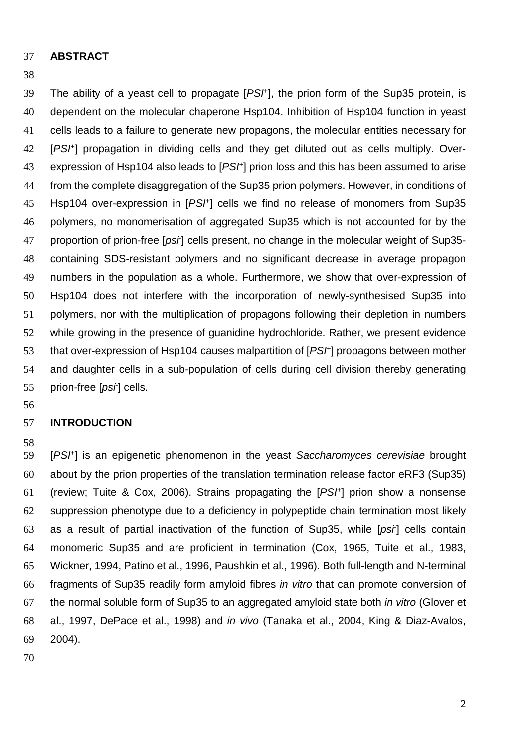#### **ABSTRACT**

#### 

39 The ability of a yeast cell to propagate  $[PSF]$ , the prion form of the Sup35 protein, is dependent on the molecular chaperone Hsp104. Inhibition of Hsp104 function in yeast cells leads to a failure to generate new propagons, the molecular entities necessary for 42 [PSI<sup>+</sup>] propagation in dividing cells and they get diluted out as cells multiply. Over-43 expression of Hsp104 also leads to [PS<sup>}+</sup>] prion loss and this has been assumed to arise from the complete disaggregation of the Sup35 prion polymers. However, in conditions of 45 Hsp104 over-expression in [PS/<sup>+</sup>] cells we find no release of monomers from Sup35 polymers, no monomerisation of aggregated Sup35 which is not accounted for by the 47 proportion of prion-free [psi] cells present, no change in the molecular weight of Sup35-containing SDS-resistant polymers and no significant decrease in average propagon numbers in the population as a whole. Furthermore, we show that over-expression of Hsp104 does not interfere with the incorporation of newly-synthesised Sup35 into polymers, nor with the multiplication of propagons following their depletion in numbers while growing in the presence of guanidine hydrochloride. Rather, we present evidence that over-expression of Hsp104 causes malpartition of  $[PSF]$  propagons between mother and daughter cells in a sub-population of cells during cell division thereby generating 55 prion-free [psi] cells.

#### **INTRODUCTION**

59 [PSI<sup>+</sup>] is an epigenetic phenomenon in the yeast Saccharomyces cerevisiae brought about by the prion properties of the translation termination release factor eRF3 (Sup35) 61 (review; Tuite & Cox, 2006). Strains propagating the  $[PSF]$  prion show a nonsense suppression phenotype due to a deficiency in polypeptide chain termination most likely 63 as a result of partial inactivation of the function of Sup35, while  $[psi]$  cells contain monomeric Sup35 and are proficient in termination (Cox, 1965, Tuite et al., 1983, Wickner, 1994, Patino et al., 1996, Paushkin et al., 1996). Both full-length and N-terminal fragments of Sup35 readily form amyloid fibres in vitro that can promote conversion of the normal soluble form of Sup35 to an aggregated amyloid state both in vitro (Glover et al., 1997, DePace et al., 1998) and in vivo (Tanaka et al., 2004, King & Diaz-Avalos, 2004).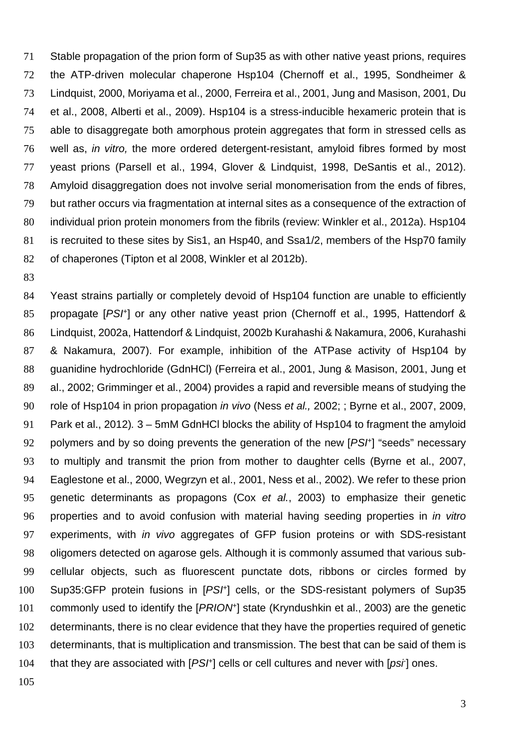Stable propagation of the prion form of Sup35 as with other native yeast prions, requires the ATP-driven molecular chaperone Hsp104 (Chernoff et al., 1995, Sondheimer & Lindquist, 2000, Moriyama et al., 2000, Ferreira et al., 2001, Jung and Masison, 2001, Du et al., 2008, Alberti et al., 2009). Hsp104 is a stress-inducible hexameric protein that is able to disaggregate both amorphous protein aggregates that form in stressed cells as well as, in vitro, the more ordered detergent-resistant, amyloid fibres formed by most yeast prions (Parsell et al., 1994, Glover & Lindquist, 1998, DeSantis et al., 2012). Amyloid disaggregation does not involve serial monomerisation from the ends of fibres, but rather occurs via fragmentation at internal sites as a consequence of the extraction of 80 individual prion protein monomers from the fibrils (review: Winkler et al., 2012a). Hsp104 is recruited to these sites by Sis1, an Hsp40, and Ssa1/2, members of the Hsp70 family of chaperones (Tipton et al 2008, Winkler et al 2012b).

84 Yeast strains partially or completely devoid of Hsp104 function are unable to efficiently 85 propagate [PSH] or any other native yeast prion (Chernoff et al., 1995, Hattendorf & Lindquist, 2002a, Hattendorf & Lindquist, 2002b Kurahashi & Nakamura, 2006, Kurahashi & Nakamura, 2007). For example, inhibition of the ATPase activity of Hsp104 by guanidine hydrochloride (GdnHCl) (Ferreira et al., 2001, Jung & Masison, 2001, Jung et al., 2002; Grimminger et al., 2004) provides a rapid and reversible means of studying the 90 role of Hsp104 in prion propagation *in vivo* (Ness *et al.,* 2002; ; Byrne et al., 2007, 2009, Park et al., 2012). 3 – 5mM GdnHCl blocks the ability of Hsp104 to fragment the amyloid 92 polymers and by so doing prevents the generation of the new  $[PSF]$  "seeds" necessary to multiply and transmit the prion from mother to daughter cells (Byrne et al., 2007, Eaglestone et al., 2000, Wegrzyn et al., 2001, Ness et al., 2002). We refer to these prion genetic determinants as propagons (Cox et al., 2003) to emphasize their genetic properties and to avoid confusion with material having seeding properties in in vitro 97 experiments, with *in vivo* aggregates of GFP fusion proteins or with SDS-resistant oligomers detected on agarose gels. Although it is commonly assumed that various sub-cellular objects, such as fluorescent punctate dots, ribbons or circles formed by 100 Sup35:GFP protein fusions in [PSF] cells, or the SDS-resistant polymers of Sup35 101 commonly used to identify the  $[PRION^{\dagger}]$  state (Kryndushkin et al., 2003) are the genetic determinants, there is no clear evidence that they have the properties required of genetic determinants, that is multiplication and transmission. The best that can be said of them is 104 that they are associated with  $[PSF]$  cells or cell cultures and never with  $[psi]$  ones.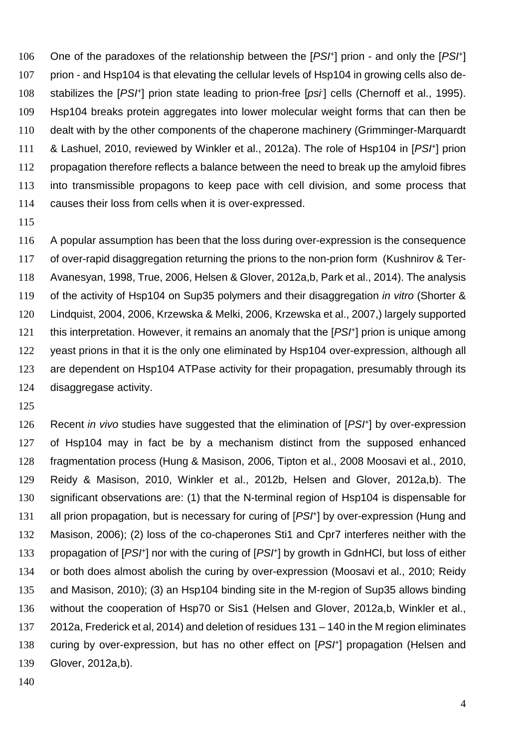106 One of the paradoxes of the relationship between the  $[PSF]$  prion - and only the  $[PSF]$ prion - and Hsp104 is that elevating the cellular levels of Hsp104 in growing cells also de-108 stabilizes the [PS<sup>+</sup>] prion state leading to prion-free [psi] cells (Chernoff et al., 1995). Hsp104 breaks protein aggregates into lower molecular weight forms that can then be dealt with by the other components of the chaperone machinery (Grimminger-Marquardt 111 & Lashuel, 2010, reviewed by Winkler et al., 2012a). The role of Hsp104 in [PS<sup>†</sup>] prion propagation therefore reflects a balance between the need to break up the amyloid fibres into transmissible propagons to keep pace with cell division, and some process that causes their loss from cells when it is over-expressed.

A popular assumption has been that the loss during over-expression is the consequence of over-rapid disaggregation returning the prions to the non-prion form (Kushnirov & Ter-Avanesyan, 1998, True, 2006, Helsen & Glover, 2012a,b, Park et al., 2014). The analysis 119 of the activity of Hsp104 on Sup35 polymers and their disaggregation *in vitro* (Shorter & Lindquist, 2004, 2006, Krzewska & Melki, 2006, Krzewska et al., 2007,) largely supported 121 this interpretation. However, it remains an anomaly that the  $[PSF]$  prion is unique among 122 yeast prions in that it is the only one eliminated by Hsp104 over-expression, although all are dependent on Hsp104 ATPase activity for their propagation, presumably through its disaggregase activity.

126 Recent in vivo studies have suggested that the elimination of [PSI<sup>+</sup>] by over-expression of Hsp104 may in fact be by a mechanism distinct from the supposed enhanced fragmentation process (Hung & Masison, 2006, Tipton et al., 2008 Moosavi et al., 2010, Reidy & Masison, 2010, Winkler et al., 2012b, Helsen and Glover, 2012a,b). The 130 significant observations are: (1) that the N-terminal region of Hsp104 is dispensable for 131 all prion propagation, but is necessary for curing of [PS<sup>+</sup>] by over-expression (Hung and Masison, 2006); (2) loss of the co-chaperones Sti1 and Cpr7 interferes neither with the 133 propagation of [PS/<sup>+</sup>] nor with the curing of [PS/<sup>+</sup>] by growth in GdnHCl, but loss of either or both does almost abolish the curing by over-expression (Moosavi et al., 2010; Reidy and Masison, 2010); (3) an Hsp104 binding site in the M-region of Sup35 allows binding without the cooperation of Hsp70 or Sis1 (Helsen and Glover, 2012a,b, Winkler et al., 2012a, Frederick et al, 2014) and deletion of residues 131 – 140 in the M region eliminates 138 curing by over-expression, but has no other effect on [PSI+] propagation (Helsen and Glover, 2012a,b).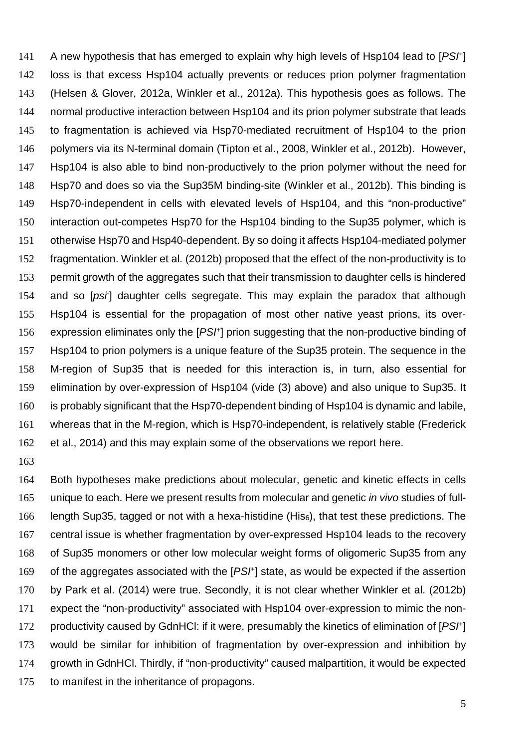141 A new hypothesis that has emerged to explain why high levels of Hsp104 lead to [PS<sup>†]</sup> loss is that excess Hsp104 actually prevents or reduces prion polymer fragmentation (Helsen & Glover, 2012a, Winkler et al., 2012a). This hypothesis goes as follows. The normal productive interaction between Hsp104 and its prion polymer substrate that leads to fragmentation is achieved via Hsp70-mediated recruitment of Hsp104 to the prion polymers via its N-terminal domain (Tipton et al., 2008, Winkler et al., 2012b). However, Hsp104 is also able to bind non-productively to the prion polymer without the need for Hsp70 and does so via the Sup35M binding-site (Winkler et al., 2012b). This binding is Hsp70-independent in cells with elevated levels of Hsp104, and this "non-productive" interaction out-competes Hsp70 for the Hsp104 binding to the Sup35 polymer, which is otherwise Hsp70 and Hsp40-dependent. By so doing it affects Hsp104-mediated polymer fragmentation. Winkler et al. (2012b) proposed that the effect of the non-productivity is to permit growth of the aggregates such that their transmission to daughter cells is hindered 154 and so [psi] daughter cells segregate. This may explain the paradox that although Hsp104 is essential for the propagation of most other native yeast prions, its over-156 expression eliminates only the [PS<sup>+</sup>] prion suggesting that the non-productive binding of Hsp104 to prion polymers is a unique feature of the Sup35 protein. The sequence in the M-region of Sup35 that is needed for this interaction is, in turn, also essential for elimination by over-expression of Hsp104 (vide (3) above) and also unique to Sup35. It is probably significant that the Hsp70-dependent binding of Hsp104 is dynamic and labile, whereas that in the M-region, which is Hsp70-independent, is relatively stable (Frederick et al., 2014) and this may explain some of the observations we report here.

Both hypotheses make predictions about molecular, genetic and kinetic effects in cells 165 unique to each. Here we present results from molecular and genetic in vivo studies of full-length Sup35, tagged or not with a hexa-histidine (His6), that test these predictions. The central issue is whether fragmentation by over-expressed Hsp104 leads to the recovery of Sup35 monomers or other low molecular weight forms of oligomeric Sup35 from any 169 of the aggregates associated with the  $[PSF]$  state, as would be expected if the assertion by Park et al. (2014) were true. Secondly, it is not clear whether Winkler et al. (2012b) expect the "non-productivity" associated with Hsp104 over-expression to mimic the non-172 productivity caused by GdnHCI: if it were, presumably the kinetics of elimination of [PS<sup>†</sup>] would be similar for inhibition of fragmentation by over-expression and inhibition by growth in GdnHCl. Thirdly, if "non-productivity" caused malpartition, it would be expected to manifest in the inheritance of propagons.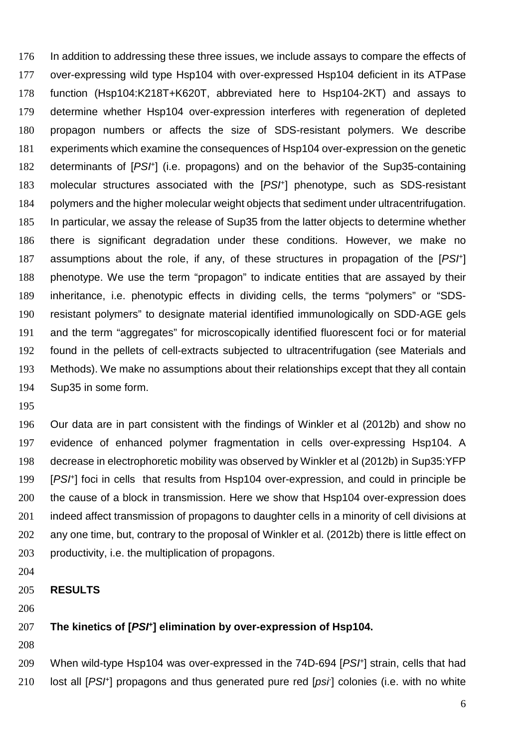In addition to addressing these three issues, we include assays to compare the effects of over-expressing wild type Hsp104 with over-expressed Hsp104 deficient in its ATPase function (Hsp104:K218T+K620T, abbreviated here to Hsp104-2KT) and assays to determine whether Hsp104 over-expression interferes with regeneration of depleted propagon numbers or affects the size of SDS-resistant polymers. We describe experiments which examine the consequences of Hsp104 over-expression on the genetic 182 determinants of [PS<sup>+]</sup> (i.e. propagons) and on the behavior of the Sup35-containing 183 molecular structures associated with the  $[PSF]$  phenotype, such as SDS-resistant polymers and the higher molecular weight objects that sediment under ultracentrifugation. In particular, we assay the release of Sup35 from the latter objects to determine whether there is significant degradation under these conditions. However, we make no 187 assumptions about the role, if any, of these structures in propagation of the  $[PSF]$ phenotype. We use the term "propagon" to indicate entities that are assayed by their inheritance, i.e. phenotypic effects in dividing cells, the terms "polymers" or "SDS-resistant polymers" to designate material identified immunologically on SDD-AGE gels and the term "aggregates" for microscopically identified fluorescent foci or for material found in the pellets of cell-extracts subjected to ultracentrifugation (see Materials and Methods). We make no assumptions about their relationships except that they all contain Sup35 in some form.

Our data are in part consistent with the findings of Winkler et al (2012b) and show no evidence of enhanced polymer fragmentation in cells over-expressing Hsp104. A decrease in electrophoretic mobility was observed by Winkler et al (2012b) in Sup35:YFP 199 [PSI<sup>+</sup>] foci in cells that results from Hsp104 over-expression, and could in principle be the cause of a block in transmission. Here we show that Hsp104 over-expression does indeed affect transmission of propagons to daughter cells in a minority of cell divisions at 202 any one time, but, contrary to the proposal of Winkler et al. (2012b) there is little effect on productivity, i.e. the multiplication of propagons.

- 
- **RESULTS**

#### **The kinetics of [PSI<sup>+</sup> ] elimination by over-expression of Hsp104.**

209 When wild-type Hsp104 was over-expressed in the 74D-694 [PSH] strain, cells that had 210 lost all [PS<sup>H</sup>] propagons and thus generated pure red [psi] colonies (i.e. with no white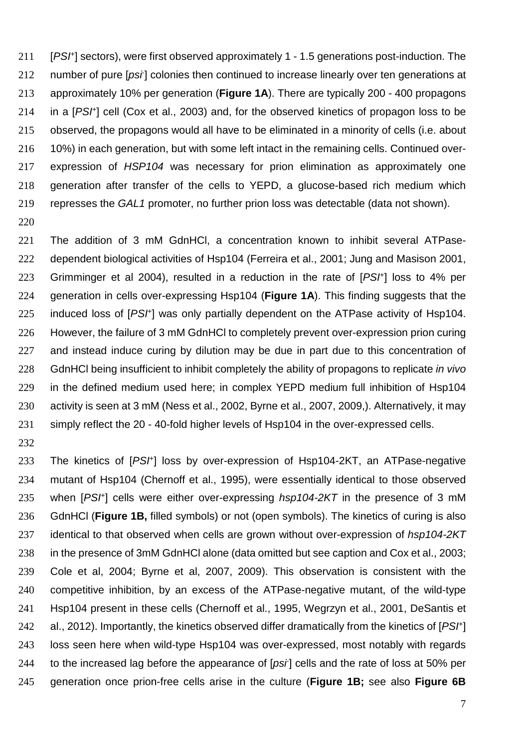211 [PSI<sup>+</sup>] sectors), were first observed approximately 1 - 1.5 generations post-induction. The 212 number of pure [psi] colonies then continued to increase linearly over ten generations at approximately 10% per generation (**Figure 1A**). There are typically 200 - 400 propagons 214 in a  $[PSF]$  cell (Cox et al., 2003) and, for the observed kinetics of propagon loss to be observed, the propagons would all have to be eliminated in a minority of cells (i.e. about 10%) in each generation, but with some left intact in the remaining cells. Continued over-expression of HSP104 was necessary for prion elimination as approximately one generation after transfer of the cells to YEPD, a glucose-based rich medium which represses the GAL1 promoter, no further prion loss was detectable (data not shown).

The addition of 3 mM GdnHCl, a concentration known to inhibit several ATPase-dependent biological activities of Hsp104 (Ferreira et al., 2001; Jung and Masison 2001, 223 Grimminger et al 2004), resulted in a reduction in the rate of  $[PSF]$  loss to 4% per generation in cells over-expressing Hsp104 (**Figure 1A**). This finding suggests that the 225 induced loss of  $[PSF]$  was only partially dependent on the ATPase activity of Hsp104. However, the failure of 3 mM GdnHCl to completely prevent over-expression prion curing 227 and instead induce curing by dilution may be due in part due to this concentration of 228 GdnHCl being insufficient to inhibit completely the ability of propagons to replicate *in vivo* in the defined medium used here; in complex YEPD medium full inhibition of Hsp104 activity is seen at 3 mM (Ness et al., 2002, Byrne et al., 2007, 2009,). Alternatively, it may simply reflect the 20 - 40-fold higher levels of Hsp104 in the over-expressed cells.

233 The kinetics of  $[PSF]$  loss by over-expression of Hsp104-2KT, an ATPase-negative mutant of Hsp104 (Chernoff et al., 1995), were essentially identical to those observed 235 when  $[PSF]$  cells were either over-expressing  $hsp104-2KT$  in the presence of 3 mM GdnHCl (**Figure 1B,** filled symbols) or not (open symbols). The kinetics of curing is also 237 identical to that observed when cells are grown without over-expression of hsp104-2KT in the presence of 3mM GdnHCl alone (data omitted but see caption and Cox et al., 2003; Cole et al, 2004; Byrne et al, 2007, 2009). This observation is consistent with the competitive inhibition, by an excess of the ATPase-negative mutant, of the wild-type Hsp104 present in these cells (Chernoff et al., 1995, Wegrzyn et al., 2001, DeSantis et 242 al., 2012). Importantly, the kinetics observed differ dramatically from the kinetics of [PS<sup>†</sup>] loss seen here when wild-type Hsp104 was over-expressed, most notably with regards 244 to the increased lag before the appearance of  $[psi]$  cells and the rate of loss at 50% per generation once prion-free cells arise in the culture (**Figure 1B;** see also **Figure 6B**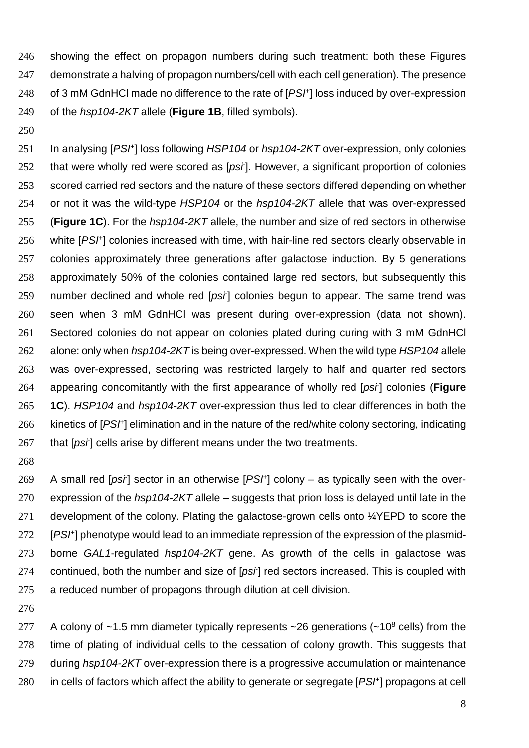showing the effect on propagon numbers during such treatment: both these Figures demonstrate a halving of propagon numbers/cell with each cell generation). The presence 248 of 3 mM GdnHCl made no difference to the rate of [PSF] loss induced by over-expression of the hsp104-2KT allele (**Figure 1B**, filled symbols).

250

251 In analysing [PSI<sup>+</sup>] loss following HSP104 or hsp104-2KT over-expression, only colonies 252 that were wholly red were scored as  $[psi]$ . However, a significant proportion of colonies 253 scored carried red sectors and the nature of these sectors differed depending on whether 254 or not it was the wild-type HSP104 or the hsp104-2KT allele that was over-expressed 255 (**Figure 1C**). For the hsp104-2KT allele, the number and size of red sectors in otherwise 256 white [PSI<sup>+</sup>] colonies increased with time, with hair-line red sectors clearly observable in 257 colonies approximately three generations after galactose induction. By 5 generations 258 approximately 50% of the colonies contained large red sectors, but subsequently this 259 number declined and whole red  $[psi]$  colonies begun to appear. The same trend was 260 seen when 3 mM GdnHCl was present during over-expression (data not shown). 261 Sectored colonies do not appear on colonies plated during curing with 3 mM GdnHCl 262 alone: only when hsp104-2KT is being over-expressed. When the wild type HSP104 allele 263 was over-expressed, sectoring was restricted largely to half and quarter red sectors appearing concomitantly with the first appearance of wholly red [psi- 264 ] colonies (**Figure** 265 **1C**). HSP104 and hsp104-2KT over-expression thus led to clear differences in both the 266 kinetics of [PSF] elimination and in the nature of the red/white colony sectoring, indicating 267 that  $[psr]$  cells arise by different means under the two treatments.

268

269 A small red [psi] sector in an otherwise  $[PSF]$  colony – as typically seen with the over-270 expression of the  $hsp104-2KT$  allele – suggests that prion loss is delayed until late in the 271 development of the colony. Plating the galactose-grown cells onto <sup>1</sup>/<sub>4</sub>YEPD to score the 272 [PSI<sup>+</sup>] phenotype would lead to an immediate repression of the expression of the plasmid-273 borne GAL1-regulated hsp104-2KT gene. As growth of the cells in galactose was 274 continued, both the number and size of [psi] red sectors increased. This is coupled with 275 a reduced number of propagons through dilution at cell division.

276

277 A colony of  $~1.5$  mm diameter typically represents  $~26$  generations ( $~10^8$  cells) from the 278 time of plating of individual cells to the cessation of colony growth. This suggests that 279 during hsp104-2KT over-expression there is a progressive accumulation or maintenance 280 in cells of factors which affect the ability to generate or segregate  $[PSF]$  propagons at cell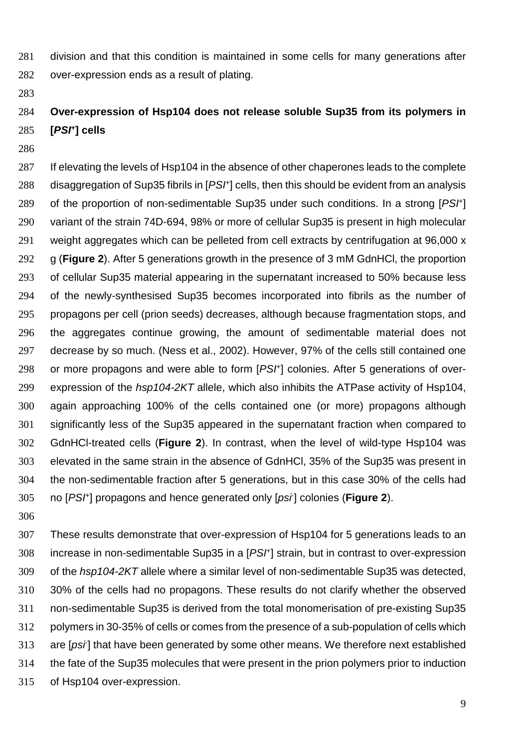- division and that this condition is maintained in some cells for many generations after over-expression ends as a result of plating.
- 

## **Over-expression of Hsp104 does not release soluble Sup35 from its polymers in [PSI<sup>+</sup> ] cells**

287 If elevating the levels of Hsp104 in the absence of other chaperones leads to the complete 288 disaggregation of Sup35 fibrils in  $[PSF]$  cells, then this should be evident from an analysis 289 of the proportion of non-sedimentable Sup35 under such conditions. In a strong [PSH] variant of the strain 74D-694, 98% or more of cellular Sup35 is present in high molecular weight aggregates which can be pelleted from cell extracts by centrifugation at 96,000 x g (**Figure 2**). After 5 generations growth in the presence of 3 mM GdnHCl, the proportion of cellular Sup35 material appearing in the supernatant increased to 50% because less of the newly-synthesised Sup35 becomes incorporated into fibrils as the number of propagons per cell (prion seeds) decreases, although because fragmentation stops, and the aggregates continue growing, the amount of sedimentable material does not decrease by so much. (Ness et al., 2002). However, 97% of the cells still contained one or more propagons and were able to form  $[PSF]$  colonies. After 5 generations of over-299 expression of the hsp104-2KT allele, which also inhibits the ATPase activity of Hsp104, again approaching 100% of the cells contained one (or more) propagons although significantly less of the Sup35 appeared in the supernatant fraction when compared to GdnHCl-treated cells (**Figure 2**). In contrast, when the level of wild-type Hsp104 was elevated in the same strain in the absence of GdnHCl, 35% of the Sup35 was present in the non-sedimentable fraction after 5 generations, but in this case 30% of the cells had 305 no [PS<sup>+</sup>] propagons and hence generated only [psi] colonies (Figure 2).

These results demonstrate that over-expression of Hsp104 for 5 generations leads to an increase in non-sedimentable Sup35 in a  $[PSF]$  strain, but in contrast to over-expression of the hsp104-2KT allele where a similar level of non-sedimentable Sup35 was detected, 30% of the cells had no propagons. These results do not clarify whether the observed non-sedimentable Sup35 is derived from the total monomerisation of pre-existing Sup35 polymers in 30-35% of cells or comes from the presence of a sub-population of cells which 313 are [psi] that have been generated by some other means. We therefore next established the fate of the Sup35 molecules that were present in the prion polymers prior to induction of Hsp104 over-expression.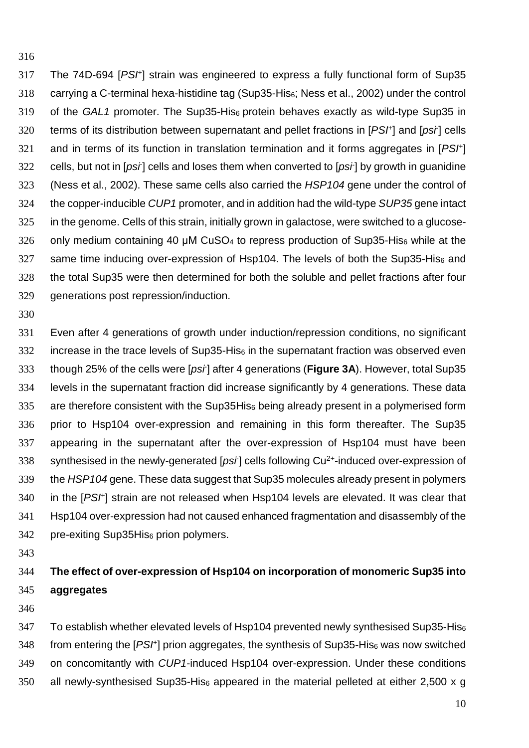317 The 74D-694 [PSH] strain was engineered to express a fully functional form of Sup35 carrying a C-terminal hexa-histidine tag (Sup35-His6; Ness et al., 2002) under the control 319 of the GAL1 promoter. The Sup35-His $_6$  protein behaves exactly as wild-type Sup35 in 320 terms of its distribution between supernatant and pellet fractions in  $[PSF]$  and  $[psr]$  cells 321 and in terms of its function in translation termination and it forms aggregates in  $[PSF]$ 322 cells, but not in [psi] cells and loses them when converted to [psi] by growth in guanidine (Ness et al., 2002). These same cells also carried the HSP104 gene under the control of 324 the copper-inducible CUP1 promoter, and in addition had the wild-type SUP35 gene intact in the genome. Cells of this strain, initially grown in galactose, were switched to a glucose- only medium containing 40  $\mu$ M CuSO<sub>4</sub> to repress production of Sup35-His<sub>6</sub> while at the 327 same time inducing over-expression of Hsp104. The levels of both the Sup35-His $_6$  and the total Sup35 were then determined for both the soluble and pellet fractions after four generations post repression/induction.

Even after 4 generations of growth under induction/repression conditions, no significant increase in the trace levels of Sup35-His $_6$  in the supernatant fraction was observed even though 25% of the cells were [psi- ] after 4 generations (**Figure 3A**). However, total Sup35 levels in the supernatant fraction did increase significantly by 4 generations. These data are therefore consistent with the Sup35His<sub>6</sub> being already present in a polymerised form prior to Hsp104 over-expression and remaining in this form thereafter. The Sup35 appearing in the supernatant after the over-expression of Hsp104 must have been 338 synthesised in the newly-generated [psi] cells following Cu<sup>2+</sup>-induced over-expression of 339 the HSP104 gene. These data suggest that Sup35 molecules already present in polymers 340 in the  $[PSF]$  strain are not released when Hsp104 levels are elevated. It was clear that Hsp104 over-expression had not caused enhanced fragmentation and disassembly of the 342 pre-exiting Sup35His<sub>6</sub> prion polymers.

## **The effect of over-expression of Hsp104 on incorporation of monomeric Sup35 into aggregates**

To establish whether elevated levels of Hsp104 prevented newly synthesised Sup35-His<sup>6</sup> 348 from entering the  $[PSF]$  prion aggregates, the synthesis of Sup35-His<sub>6</sub> was now switched on concomitantly with CUP1-induced Hsp104 over-expression. Under these conditions 350 all newly-synthesised Sup35-His $_6$  appeared in the material pelleted at either 2,500 x g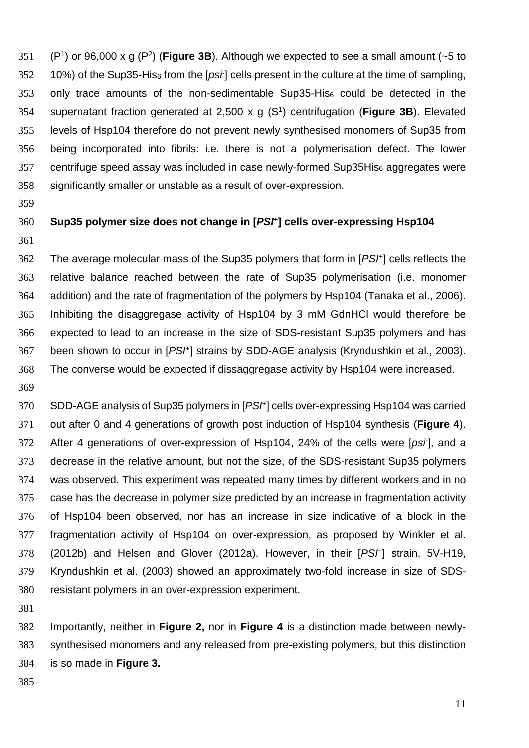351 (P<sup>1</sup>) or 96,000 x g (P<sup>2</sup>) (**Figure 3B**). Although we expected to see a small amount (~5 to  $10\%$ ) of the Sup35-His<sub>6</sub> from the [*psi*-] cells present in the culture at the time of sampling, 353 only trace amounts of the non-sedimentable Sup35-His $_6$  could be detected in the supernatant fraction generated at 2,500 x g (S<sup>1</sup> ) centrifugation (**Figure 3B**). Elevated levels of Hsp104 therefore do not prevent newly synthesised monomers of Sup35 from being incorporated into fibrils: i.e. there is not a polymerisation defect. The lower centrifuge speed assay was included in case newly-formed Sup35His<sup>6</sup> aggregates were significantly smaller or unstable as a result of over-expression.

#### **Sup35 polymer size does not change in [PSI<sup>+</sup> ] cells over-expressing Hsp104**

362 The average molecular mass of the Sup35 polymers that form in [PSF] cells reflects the relative balance reached between the rate of Sup35 polymerisation (i.e. monomer addition) and the rate of fragmentation of the polymers by Hsp104 (Tanaka et al., 2006). Inhibiting the disaggregase activity of Hsp104 by 3 mM GdnHCl would therefore be expected to lead to an increase in the size of SDS-resistant Sup35 polymers and has 367 been shown to occur in [PSI<sup>+</sup>] strains by SDD-AGE analysis (Kryndushkin et al., 2003). The converse would be expected if dissaggregase activity by Hsp104 were increased.

370 SDD-AGE analysis of Sup35 polymers in [PSH] cells over-expressing Hsp104 was carried out after 0 and 4 generations of growth post induction of Hsp104 synthesis (**Figure 4**). 372 After 4 generations of over-expression of Hsp104, 24% of the cells were [psi], and a decrease in the relative amount, but not the size, of the SDS-resistant Sup35 polymers was observed. This experiment was repeated many times by different workers and in no case has the decrease in polymer size predicted by an increase in fragmentation activity of Hsp104 been observed, nor has an increase in size indicative of a block in the fragmentation activity of Hsp104 on over-expression, as proposed by Winkler et al. (2012b) and Helsen and Glover (2012a). However, in their  $[PSF]$  strain, 5V-H19, Kryndushkin et al. (2003) showed an approximately two-fold increase in size of SDS-resistant polymers in an over-expression experiment.

Importantly, neither in **Figure 2,** nor in **Figure 4** is a distinction made between newly-synthesised monomers and any released from pre-existing polymers, but this distinction is so made in **Figure 3.**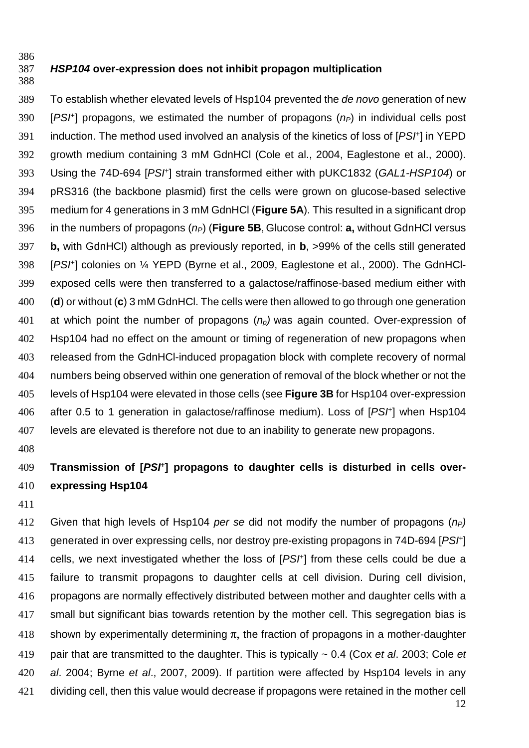#### **HSP104 over-expression does not inhibit propagon multiplication**

To establish whether elevated levels of Hsp104 prevented the de novo generation of new 390 [PSI<sup>+</sup>] propagons, we estimated the number of propagons ( $n<sub>P</sub>$ ) in individual cells post 391 induction. The method used involved an analysis of the kinetics of loss of [PSF] in YEPD growth medium containing 3 mM GdnHCl (Cole et al., 2004, Eaglestone et al., 2000). 393 Using the 74D-694 [PSH] strain transformed either with pUKC1832 (GAL1-HSP104) or pRS316 (the backbone plasmid) first the cells were grown on glucose-based selective medium for 4 generations in 3 mM GdnHCl (**Figure 5A**). This resulted in a significant drop 396 in the numbers of propagons  $(n_P)$  (**Figure 5B**, Glucose control: **a**, without GdnHCl versus **b,** with GdnHCl) although as previously reported, in **b**, >99% of the cells still generated 398 [PSI<sup>+</sup>] colonies on 1/4 YEPD (Byrne et al., 2009, Eaglestone et al., 2000). The GdnHCl-exposed cells were then transferred to a galactose/raffinose-based medium either with (**d**) or without (**c**) 3 mM GdnHCl. The cells were then allowed to go through one generation 401 at which point the number of propagons  $(n_p)$  was again counted. Over-expression of Hsp104 had no effect on the amount or timing of regeneration of new propagons when released from the GdnHCl-induced propagation block with complete recovery of normal numbers being observed within one generation of removal of the block whether or not the levels of Hsp104 were elevated in those cells (see **Figure 3B** for Hsp104 over-expression 406 after 0.5 to 1 generation in galactose/raffinose medium). Loss of [PS/+] when Hsp104 levels are elevated is therefore not due to an inability to generate new propagons.

### **Transmission of [PSI<sup>+</sup> ] propagons to daughter cells is disturbed in cells over-expressing Hsp104**

412 Given that high levels of Hsp104 per se did not modify the number of propagons  $(p_P)$ generated in over expressing cells, nor destroy pre-existing propagons in 74D-694 [PSF] 414 cells, we next investigated whether the loss of  $[PSF]$  from these cells could be due a failure to transmit propagons to daughter cells at cell division. During cell division, propagons are normally effectively distributed between mother and daughter cells with a small but significant bias towards retention by the mother cell. This segregation bias is 418 shown by experimentally determining  $\pi$ , the fraction of propagons in a mother-daughter 419 pair that are transmitted to the daughter. This is typically  $\sim$  0.4 (Cox et al. 2003; Cole et al. 2004; Byrne et al., 2007, 2009). If partition were affected by Hsp104 levels in any dividing cell, then this value would decrease if propagons were retained in the mother cell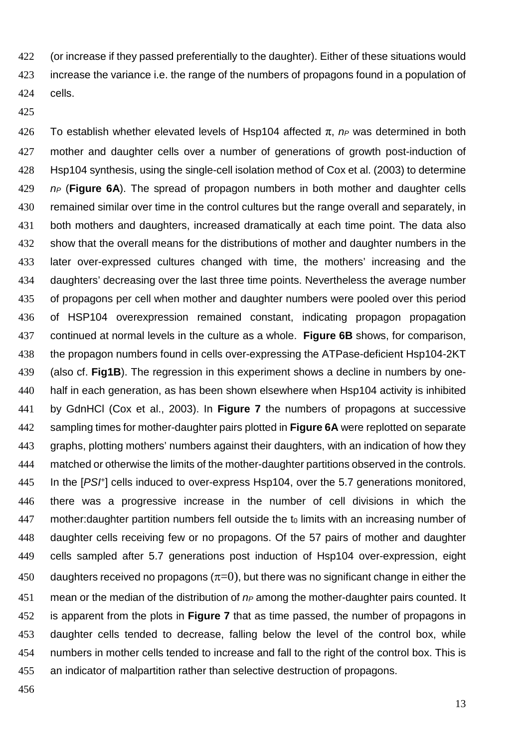(or increase if they passed preferentially to the daughter). Either of these situations would 423 increase the variance i.e. the range of the numbers of propagons found in a population of cells.

426 To establish whether elevated levels of Hsp104 affected  $\pi$ ,  $n_P$  was determined in both mother and daughter cells over a number of generations of growth post-induction of Hsp104 synthesis, using the single-cell isolation method of Cox et al. (2003) to determine 429 n<sub>P</sub> (Figure 6A). The spread of propagon numbers in both mother and daughter cells 430 remained similar over time in the control cultures but the range overall and separately, in both mothers and daughters, increased dramatically at each time point. The data also 432 show that the overall means for the distributions of mother and daughter numbers in the later over-expressed cultures changed with time, the mothers' increasing and the daughters' decreasing over the last three time points. Nevertheless the average number of propagons per cell when mother and daughter numbers were pooled over this period of HSP104 overexpression remained constant, indicating propagon propagation continued at normal levels in the culture as a whole. **Figure 6B** shows, for comparison, the propagon numbers found in cells over-expressing the ATPase-deficient Hsp104-2KT (also cf. **Fig1B**). The regression in this experiment shows a decline in numbers by one-half in each generation, as has been shown elsewhere when Hsp104 activity is inhibited by GdnHCl (Cox et al., 2003). In **Figure 7** the numbers of propagons at successive sampling times for mother-daughter pairs plotted in **Figure 6A** were replotted on separate graphs, plotting mothers' numbers against their daughters, with an indication of how they matched or otherwise the limits of the mother-daughter partitions observed in the controls. 445 In the [PSH] cells induced to over-express Hsp104, over the 5.7 generations monitored, there was a progressive increase in the number of cell divisions in which the mother: daughter partition numbers fell outside the to limits with an increasing number of daughter cells receiving few or no propagons. Of the 57 pairs of mother and daughter cells sampled after 5.7 generations post induction of Hsp104 over-expression, eight 450 daughters received no propagons  $(\pi=0)$ , but there was no significant change in either the 451 mean or the median of the distribution of  $n_P$  among the mother-daughter pairs counted. It is apparent from the plots in **Figure 7** that as time passed, the number of propagons in daughter cells tended to decrease, falling below the level of the control box, while numbers in mother cells tended to increase and fall to the right of the control box. This is an indicator of malpartition rather than selective destruction of propagons.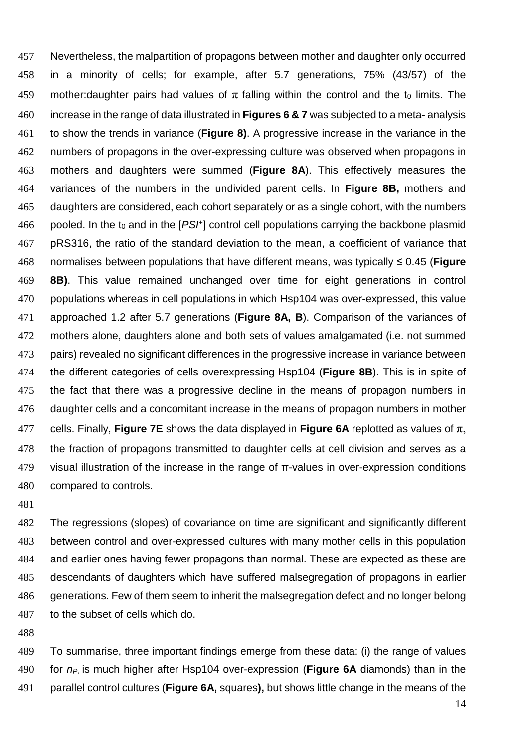Nevertheless, the malpartition of propagons between mother and daughter only occurred in a minority of cells; for example, after 5.7 generations, 75% (43/57) of the 459 mother: daughter pairs had values of  $\pi$  falling within the control and the t<sub>0</sub> limits. The increase in the range of data illustrated in **Figures 6 & 7** was subjected to a meta- analysis to show the trends in variance (**Figure 8)**. A progressive increase in the variance in the numbers of propagons in the over-expressing culture was observed when propagons in mothers and daughters were summed (**Figure 8A**). This effectively measures the variances of the numbers in the undivided parent cells. In **Figure 8B,** mothers and daughters are considered, each cohort separately or as a single cohort, with the numbers 466 pooled. In the t<sub>0</sub> and in the  $[PSF]$  control cell populations carrying the backbone plasmid pRS316, the ratio of the standard deviation to the mean, a coefficient of variance that normalises between populations that have different means, was typically ≤ 0.45 (**Figure 8B)**. This value remained unchanged over time for eight generations in control populations whereas in cell populations in which Hsp104 was over-expressed, this value approached 1.2 after 5.7 generations (**Figure 8A, B**). Comparison of the variances of mothers alone, daughters alone and both sets of values amalgamated (i.e. not summed 473 pairs) revealed no significant differences in the progressive increase in variance between the different categories of cells overexpressing Hsp104 (**Figure 8B**). This is in spite of the fact that there was a progressive decline in the means of propagon numbers in daughter cells and a concomitant increase in the means of propagon numbers in mother 477 cells. Finally, **Figure 7E** shows the data displayed in **Figure 6A** replotted as values of  $\pi$ , the fraction of propagons transmitted to daughter cells at cell division and serves as a visual illustration of the increase in the range of  $\pi$ -values in over-expression conditions compared to controls.

The regressions (slopes) of covariance on time are significant and significantly different between control and over-expressed cultures with many mother cells in this population and earlier ones having fewer propagons than normal. These are expected as these are descendants of daughters which have suffered malsegregation of propagons in earlier generations. Few of them seem to inherit the malsegregation defect and no longer belong to the subset of cells which do.

To summarise, three important findings emerge from these data: (i) the range of values 490 for  $n_P$  is much higher after Hsp104 over-expression (**Figure 6A** diamonds) than in the parallel control cultures (**Figure 6A,** squares**),** but shows little change in the means of the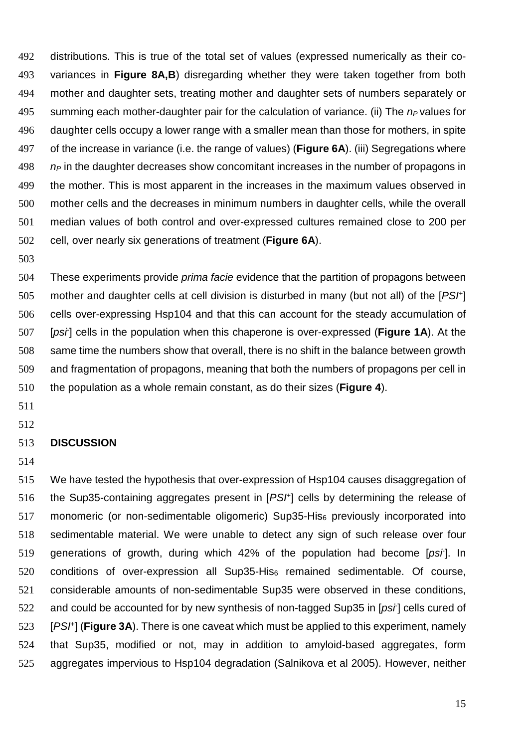distributions. This is true of the total set of values (expressed numerically as their co-variances in **Figure 8A,B**) disregarding whether they were taken together from both mother and daughter sets, treating mother and daughter sets of numbers separately or 495 summing each mother-daughter pair for the calculation of variance. (ii) The  $n_P$  values for daughter cells occupy a lower range with a smaller mean than those for mothers, in spite of the increase in variance (i.e. the range of values) (**Figure 6A**). (iii) Segregations where n<sub>P</sub> in the daughter decreases show concomitant increases in the number of propagons in the mother. This is most apparent in the increases in the maximum values observed in mother cells and the decreases in minimum numbers in daughter cells, while the overall median values of both control and over-expressed cultures remained close to 200 per cell, over nearly six generations of treatment (**Figure 6A**).

504 These experiments provide *prima facie* evidence that the partition of propagons between 505 mother and daughter cells at cell division is disturbed in many (but not all) of the  $[PSF]$ cells over-expressing Hsp104 and that this can account for the steady accumulation of [psi- ] cells in the population when this chaperone is over-expressed (**Figure 1A**). At the 508 same time the numbers show that overall, there is no shift in the balance between growth and fragmentation of propagons, meaning that both the numbers of propagons per cell in the population as a whole remain constant, as do their sizes (**Figure 4**).

- 
- **DISCUSSION**
- 

We have tested the hypothesis that over-expression of Hsp104 causes disaggregation of 516 the Sup35-containing aggregates present in  $[PSF]$  cells by determining the release of monomeric (or non-sedimentable oligomeric) Sup35-His<sup>6</sup> previously incorporated into sedimentable material. We were unable to detect any sign of such release over four 519 generations of growth, during which  $42\%$  of the population had become [psi]. In 520 conditions of over-expression all Sup35-His<sub>6</sub> remained sedimentable. Of course, considerable amounts of non-sedimentable Sup35 were observed in these conditions, 522 and could be accounted for by new synthesis of non-tagged Sup35 in [ $psi$ ] cells cured of [PSI<sup>+</sup> ] (**Figure 3A**). There is one caveat which must be applied to this experiment, namely that Sup35, modified or not, may in addition to amyloid-based aggregates, form aggregates impervious to Hsp104 degradation (Salnikova et al 2005). However, neither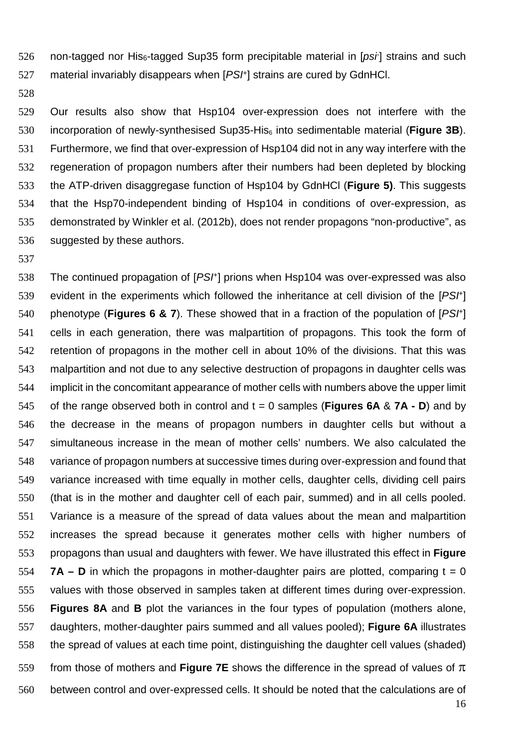non-tagged nor His $6$ -tagged Sup35 form precipitable material in [psi] strains and such 527 material invariably disappears when  $[PSI<sup>+</sup>]$  strains are cured by GdnHCl.

Our results also show that Hsp104 over-expression does not interfere with the incorporation of newly-synthesised Sup35-His<sup>6</sup> into sedimentable material (**Figure 3B**). Furthermore, we find that over-expression of Hsp104 did not in any way interfere with the regeneration of propagon numbers after their numbers had been depleted by blocking the ATP-driven disaggregase function of Hsp104 by GdnHCl (**Figure 5)**. This suggests that the Hsp70-independent binding of Hsp104 in conditions of over-expression, as demonstrated by Winkler et al. (2012b), does not render propagons "non-productive", as suggested by these authors.

538 The continued propagation of  $[PSF]$  prions when Hsp104 was over-expressed was also 539 evident in the experiments which followed the inheritance at cell division of the  $[PSF]$ 540 phenotype (**Figures 6 & 7**). These showed that in a fraction of the population of [PS<sup>†</sup>] cells in each generation, there was malpartition of propagons. This took the form of retention of propagons in the mother cell in about 10% of the divisions. That this was malpartition and not due to any selective destruction of propagons in daughter cells was implicit in the concomitant appearance of mother cells with numbers above the upper limit of the range observed both in control and t = 0 samples (**Figures 6A** & **7A - D**) and by the decrease in the means of propagon numbers in daughter cells but without a simultaneous increase in the mean of mother cells' numbers. We also calculated the variance of propagon numbers at successive times during over-expression and found that variance increased with time equally in mother cells, daughter cells, dividing cell pairs (that is in the mother and daughter cell of each pair, summed) and in all cells pooled. Variance is a measure of the spread of data values about the mean and malpartition increases the spread because it generates mother cells with higher numbers of propagons than usual and daughters with fewer. We have illustrated this effect in **Figure 7A – D** in which the propagons in mother-daughter pairs are plotted, comparing  $t = 0$ values with those observed in samples taken at different times during over-expression. **Figures 8A** and **B** plot the variances in the four types of population (mothers alone, daughters, mother-daughter pairs summed and all values pooled); **Figure 6A** illustrates the spread of values at each time point, distinguishing the daughter cell values (shaded) from those of mothers and **Figure 7E** shows the difference in the spread of values of π between control and over-expressed cells. It should be noted that the calculations are of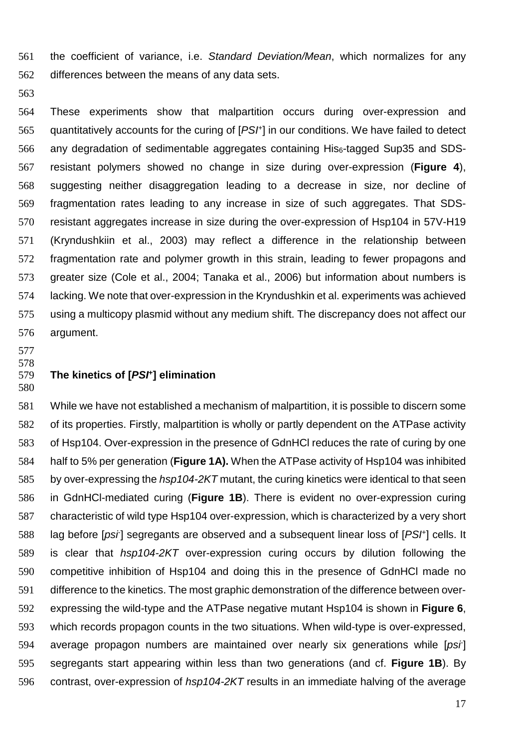the coefficient of variance, i.e. Standard Deviation/Mean, which normalizes for any differences between the means of any data sets.

These experiments show that malpartition occurs during over-expression and 565 quantitatively accounts for the curing of  $[PSF]$  in our conditions. We have failed to detect any degradation of sedimentable aggregates containing His6-tagged Sup35 and SDS-resistant polymers showed no change in size during over-expression (**Figure 4**), suggesting neither disaggregation leading to a decrease in size, nor decline of fragmentation rates leading to any increase in size of such aggregates. That SDS-resistant aggregates increase in size during the over-expression of Hsp104 in 57V-H19 (Kryndushkiin et al., 2003) may reflect a difference in the relationship between fragmentation rate and polymer growth in this strain, leading to fewer propagons and greater size (Cole et al., 2004; Tanaka et al., 2006) but information about numbers is lacking. We note that over-expression in the Kryndushkin et al. experiments was achieved using a multicopy plasmid without any medium shift. The discrepancy does not affect our argument.

 

#### **The kinetics of [PSI<sup>+</sup> ] elimination**

While we have not established a mechanism of malpartition, it is possible to discern some of its properties. Firstly, malpartition is wholly or partly dependent on the ATPase activity of Hsp104. Over-expression in the presence of GdnHCl reduces the rate of curing by one half to 5% per generation (**Figure 1A).** When the ATPase activity of Hsp104 was inhibited 585 by over-expressing the hsp104-2KT mutant, the curing kinetics were identical to that seen in GdnHCl-mediated curing (**Figure 1B**). There is evident no over-expression curing characteristic of wild type Hsp104 over-expression, which is characterized by a very short 588 lag before [psi] segregants are observed and a subsequent linear loss of [PSI+] cells. It is clear that hsp104-2KT over-expression curing occurs by dilution following the competitive inhibition of Hsp104 and doing this in the presence of GdnHCl made no difference to the kinetics. The most graphic demonstration of the difference between over-expressing the wild-type and the ATPase negative mutant Hsp104 is shown in **Figure 6**, which records propagon counts in the two situations. When wild-type is over-expressed, 594 average propagon numbers are maintained over nearly six generations while  $[psi]$ segregants start appearing within less than two generations (and cf. **Figure 1B**). By 596 contrast, over-expression of hsp104-2KT results in an immediate halving of the average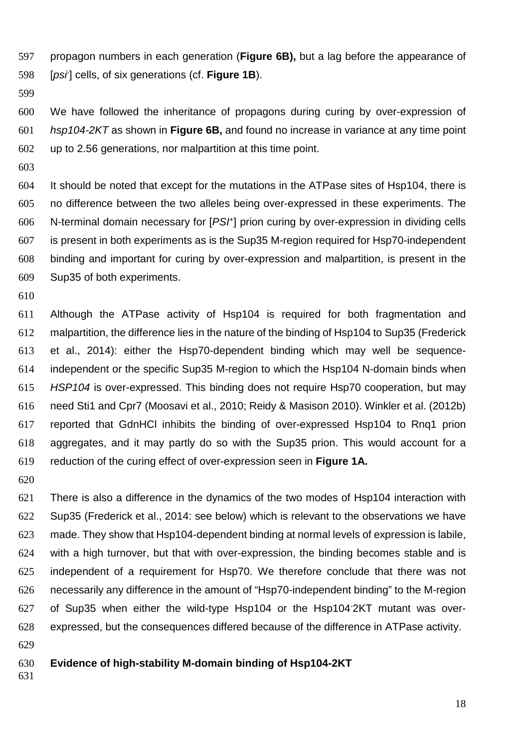propagon numbers in each generation (**Figure 6B),** but a lag before the appearance of [psi- ] cells, of six generations (cf. **Figure 1B**).

We have followed the inheritance of propagons during curing by over-expression of hsp104-2KT as shown in **Figure 6B,** and found no increase in variance at any time point up to 2.56 generations, nor malpartition at this time point.

It should be noted that except for the mutations in the ATPase sites of Hsp104, there is no difference between the two alleles being over-expressed in these experiments. The N-terminal domain necessary for  $[PSF]$  prion curing by over-expression in dividing cells is present in both experiments as is the Sup35 M-region required for Hsp70-independent binding and important for curing by over-expression and malpartition, is present in the Sup35 of both experiments.

Although the ATPase activity of Hsp104 is required for both fragmentation and malpartition, the difference lies in the nature of the binding of Hsp104 to Sup35 (Frederick et al., 2014): either the Hsp70-dependent binding which may well be sequence-independent or the specific Sup35 M-region to which the Hsp104 N-domain binds when HSP104 is over-expressed. This binding does not require Hsp70 cooperation, but may need Sti1 and Cpr7 (Moosavi et al., 2010; Reidy & Masison 2010). Winkler et al. (2012b) reported that GdnHCl inhibits the binding of over-expressed Hsp104 to Rnq1 prion aggregates, and it may partly do so with the Sup35 prion. This would account for a reduction of the curing effect of over-expression seen in **Figure 1A.** 

There is also a difference in the dynamics of the two modes of Hsp104 interaction with Sup35 (Frederick et al., 2014: see below) which is relevant to the observations we have made. They show that Hsp104-dependent binding at normal levels of expression is labile, with a high turnover, but that with over-expression, the binding becomes stable and is independent of a requirement for Hsp70. We therefore conclude that there was not necessarily any difference in the amount of "Hsp70-independent binding" to the M-region of Sup35 when either the wild-type Hsp104 or the Hsp104-2KT mutant was over-expressed, but the consequences differed because of the difference in ATPase activity.

#### **Evidence of high-stability M-domain binding of Hsp104-2KT**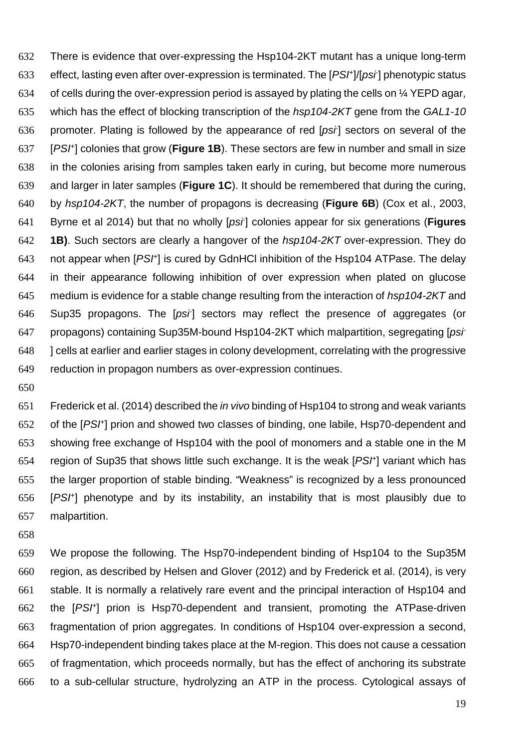There is evidence that over-expressing the Hsp104-2KT mutant has a unique long-term 633 effect, lasting even after over-expression is terminated. The [PS/+]/[ps/] phenotypic status of cells during the over-expression period is assayed by plating the cells on ¼ YEPD agar, 635 which has the effect of blocking transcription of the hsp104-2KT gene from the GAL1-10 636 promoter. Plating is followed by the appearance of red  $[psr]$  sectors on several of the 637 [PS<sup>H</sup>] colonies that grow (**Figure 1B**). These sectors are few in number and small in size in the colonies arising from samples taken early in curing, but become more numerous and larger in later samples (**Figure 1C**). It should be remembered that during the curing, by hsp104-2KT, the number of propagons is decreasing (**Figure 6B**) (Cox et al., 2003, 641 Byrne et al 2014) but that no wholly [*psi*] colonies appear for six generations (**Figures 1B)**. Such sectors are clearly a hangover of the hsp104-2KT over-expression. They do 643 not appear when  $[PSF]$  is cured by GdnHCl inhibition of the Hsp104 ATPase. The delay in their appearance following inhibition of over expression when plated on glucose 645 medium is evidence for a stable change resulting from the interaction of hsp104-2KT and 646 Sup35 propagons. The [psi] sectors may reflect the presence of aggregates (or propagons) containing Sup35M-bound Hsp104-2KT which malpartition, segregating [psi- ] cells at earlier and earlier stages in colony development, correlating with the progressive reduction in propagon numbers as over-expression continues.

Frederick et al. (2014) described the in vivo binding of Hsp104 to strong and weak variants 652 of the [PS<sup>+]</sup> prion and showed two classes of binding, one labile, Hsp70-dependent and showing free exchange of Hsp104 with the pool of monomers and a stable one in the M 654 region of Sup35 that shows little such exchange. It is the weak  $[PSF]$  variant which has the larger proportion of stable binding. "Weakness" is recognized by a less pronounced [PS $t$ ] phenotype and by its instability, an instability that is most plausibly due to malpartition.

We propose the following. The Hsp70-independent binding of Hsp104 to the Sup35M region, as described by Helsen and Glover (2012) and by Frederick et al. (2014), is very stable. It is normally a relatively rare event and the principal interaction of Hsp104 and 662 the  $[PSF]$  prion is Hsp70-dependent and transient, promoting the ATPase-driven fragmentation of prion aggregates. In conditions of Hsp104 over-expression a second, Hsp70-independent binding takes place at the M-region. This does not cause a cessation of fragmentation, which proceeds normally, but has the effect of anchoring its substrate to a sub-cellular structure, hydrolyzing an ATP in the process. Cytological assays of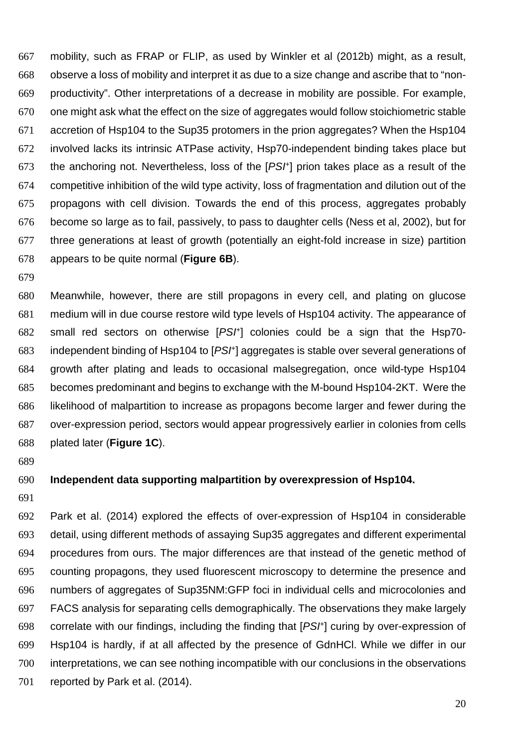mobility, such as FRAP or FLIP, as used by Winkler et al (2012b) might, as a result, observe a loss of mobility and interpret it as due to a size change and ascribe that to "non-productivity". Other interpretations of a decrease in mobility are possible. For example, one might ask what the effect on the size of aggregates would follow stoichiometric stable accretion of Hsp104 to the Sup35 protomers in the prion aggregates? When the Hsp104 involved lacks its intrinsic ATPase activity, Hsp70-independent binding takes place but 673 the anchoring not. Nevertheless, loss of the  $[PSF]$  prion takes place as a result of the competitive inhibition of the wild type activity, loss of fragmentation and dilution out of the propagons with cell division. Towards the end of this process, aggregates probably become so large as to fail, passively, to pass to daughter cells (Ness et al, 2002), but for three generations at least of growth (potentially an eight-fold increase in size) partition appears to be quite normal (**Figure 6B**).

Meanwhile, however, there are still propagons in every cell, and plating on glucose medium will in due course restore wild type levels of Hsp104 activity. The appearance of 682 small red sectors on otherwise  $[PSF]$  colonies could be a sign that the Hsp70-683 independent binding of Hsp104 to [PS/+] aggregates is stable over several generations of growth after plating and leads to occasional malsegregation, once wild-type Hsp104 becomes predominant and begins to exchange with the M-bound Hsp104-2KT. Were the likelihood of malpartition to increase as propagons become larger and fewer during the over-expression period, sectors would appear progressively earlier in colonies from cells plated later (**Figure 1C**).

#### **Independent data supporting malpartition by overexpression of Hsp104.**

Park et al. (2014) explored the effects of over-expression of Hsp104 in considerable detail, using different methods of assaying Sup35 aggregates and different experimental procedures from ours. The major differences are that instead of the genetic method of counting propagons, they used fluorescent microscopy to determine the presence and numbers of aggregates of Sup35NM:GFP foci in individual cells and microcolonies and FACS analysis for separating cells demographically. The observations they make largely 698 correlate with our findings, including the finding that  $[PSF]$  curing by over-expression of Hsp104 is hardly, if at all affected by the presence of GdnHCl. While we differ in our interpretations, we can see nothing incompatible with our conclusions in the observations 701 reported by Park et al. (2014).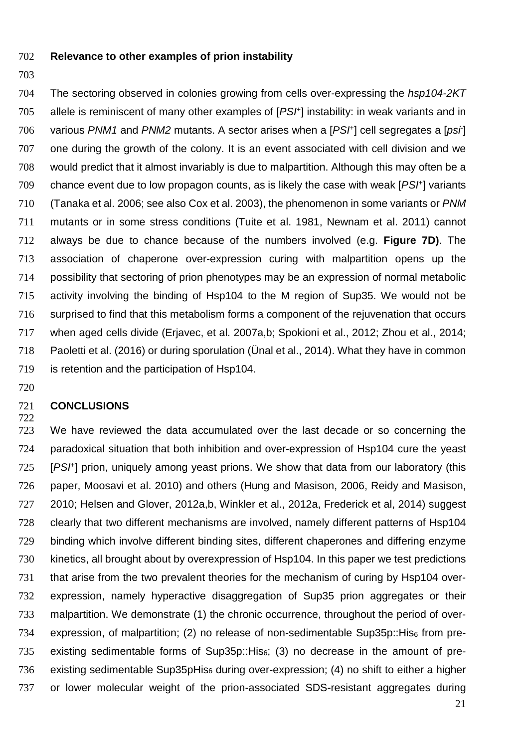- **Relevance to other examples of prion instability**
- 

704 The sectoring observed in colonies growing from cells over-expressing the hsp104-2KT allele is reminiscent of many other examples of  $[PSF]$  instability: in weak variants and in 706 various PNM1 and PNM2 mutants. A sector arises when a  $[PSF]$  cell segregates a  $[psr]$ one during the growth of the colony. It is an event associated with cell division and we would predict that it almost invariably is due to malpartition. Although this may often be a chance event due to low propagon counts, as is likely the case with weak  $[PSF]$  variants (Tanaka et al. 2006; see also Cox et al. 2003), the phenomenon in some variants or PNM mutants or in some stress conditions (Tuite et al. 1981, Newnam et al. 2011) cannot always be due to chance because of the numbers involved (e.g. **Figure 7D)**. The association of chaperone over-expression curing with malpartition opens up the possibility that sectoring of prion phenotypes may be an expression of normal metabolic activity involving the binding of Hsp104 to the M region of Sup35. We would not be surprised to find that this metabolism forms a component of the rejuvenation that occurs when aged cells divide (Erjavec, et al. 2007a,b; Spokioni et al., 2012; Zhou et al., 2014; Paoletti et al. (2016) or during sporulation (Ünal et al., 2014). What they have in common is retention and the participation of Hsp104.

#### **CONCLUSIONS**

We have reviewed the data accumulated over the last decade or so concerning the paradoxical situation that both inhibition and over-expression of Hsp104 cure the yeast 725 [PSI<sup>+</sup>] prion, uniquely among yeast prions. We show that data from our laboratory (this paper, Moosavi et al. 2010) and others (Hung and Masison, 2006, Reidy and Masison, 2010; Helsen and Glover, 2012a,b, Winkler et al., 2012a, Frederick et al, 2014) suggest clearly that two different mechanisms are involved, namely different patterns of Hsp104 binding which involve different binding sites, different chaperones and differing enzyme kinetics, all brought about by overexpression of Hsp104. In this paper we test predictions that arise from the two prevalent theories for the mechanism of curing by Hsp104 over-expression, namely hyperactive disaggregation of Sup35 prion aggregates or their malpartition. We demonstrate (1) the chronic occurrence, throughout the period of over-734 expression, of malpartition; (2) no release of non-sedimentable Sup35p:: His<sub>6</sub> from pre-existing sedimentable forms of Sup35p::His6; (3) no decrease in the amount of pre-736 existing sedimentable Sup35pHis<sub>6</sub> during over-expression; (4) no shift to either a higher or lower molecular weight of the prion-associated SDS-resistant aggregates during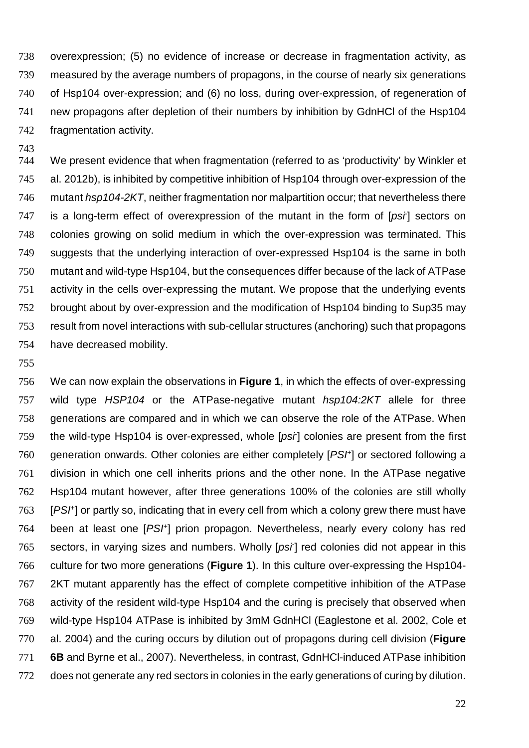overexpression; (5) no evidence of increase or decrease in fragmentation activity, as measured by the average numbers of propagons, in the course of nearly six generations of Hsp104 over-expression; and (6) no loss, during over-expression, of regeneration of new propagons after depletion of their numbers by inhibition by GdnHCl of the Hsp104 fragmentation activity.

We present evidence that when fragmentation (referred to as 'productivity' by Winkler et al. 2012b), is inhibited by competitive inhibition of Hsp104 through over-expression of the 746 mutant hsp104-2KT, neither fragmentation nor malpartition occur; that nevertheless there is a long-term effect of overexpression of the mutant in the form of  $[psi]$  sectors on colonies growing on solid medium in which the over-expression was terminated. This suggests that the underlying interaction of over-expressed Hsp104 is the same in both mutant and wild-type Hsp104, but the consequences differ because of the lack of ATPase activity in the cells over-expressing the mutant. We propose that the underlying events brought about by over-expression and the modification of Hsp104 binding to Sup35 may result from novel interactions with sub-cellular structures (anchoring) such that propagons have decreased mobility.

We can now explain the observations in **Figure 1**, in which the effects of over-expressing 757 wild type HSP104 or the ATPase-negative mutant hsp104:2KT allele for three generations are compared and in which we can observe the role of the ATPase. When 759 the wild-type Hsp104 is over-expressed, whole [psi] colonies are present from the first generation onwards. Other colonies are either completely  $[PSF]$  or sectored following a division in which one cell inherits prions and the other none. In the ATPase negative Hsp104 mutant however, after three generations 100% of the colonies are still wholly 763 [PSI<sup>+</sup>] or partly so, indicating that in every cell from which a colony grew there must have 764 been at least one [PSI<sup>+</sup>] prion propagon. Nevertheless, nearly every colony has red sectors, in varying sizes and numbers. Wholly [ $psi$ ] red colonies did not appear in this culture for two more generations (**Figure 1**). In this culture over-expressing the Hsp104- 2KT mutant apparently has the effect of complete competitive inhibition of the ATPase activity of the resident wild-type Hsp104 and the curing is precisely that observed when wild-type Hsp104 ATPase is inhibited by 3mM GdnHCl (Eaglestone et al. 2002, Cole et al. 2004) and the curing occurs by dilution out of propagons during cell division (**Figure 6B** and Byrne et al., 2007). Nevertheless, in contrast, GdnHCl-induced ATPase inhibition does not generate any red sectors in colonies in the early generations of curing by dilution.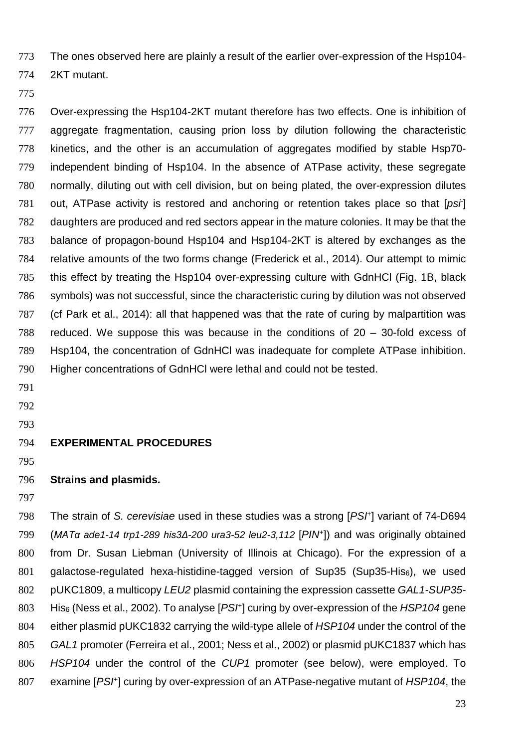The ones observed here are plainly a result of the earlier over-expression of the Hsp104-

- 2KT mutant.
- 

Over-expressing the Hsp104-2KT mutant therefore has two effects. One is inhibition of aggregate fragmentation, causing prion loss by dilution following the characteristic kinetics, and the other is an accumulation of aggregates modified by stable Hsp70- independent binding of Hsp104. In the absence of ATPase activity, these segregate normally, diluting out with cell division, but on being plated, the over-expression dilutes 781 out, ATPase activity is restored and anchoring or retention takes place so that  $[psi]$ daughters are produced and red sectors appear in the mature colonies. It may be that the balance of propagon-bound Hsp104 and Hsp104-2KT is altered by exchanges as the relative amounts of the two forms change (Frederick et al., 2014). Our attempt to mimic this effect by treating the Hsp104 over-expressing culture with GdnHCl (Fig. 1B, black symbols) was not successful, since the characteristic curing by dilution was not observed (cf Park et al., 2014): all that happened was that the rate of curing by malpartition was reduced. We suppose this was because in the conditions of 20 – 30-fold excess of Hsp104, the concentration of GdnHCl was inadequate for complete ATPase inhibition. Higher concentrations of GdnHCl were lethal and could not be tested.

- 
- 
- 

#### **EXPERIMENTAL PROCEDURES**

#### **Strains and plasmids.**

The strain of S. cerevisiae used in these studies was a strong [PS<sup>+</sup>] variant of 74-D694 (*MATg* ade1-14 trp1-289 *his3〉*-200 ura3-52 leu2-3,112 [PIN<sup>+</sup> ]) and was originally obtained from Dr. Susan Liebman (University of Illinois at Chicago). For the expression of a galactose-regulated hexa-histidine-tagged version of Sup35 (Sup35-His6), we used 802 pUKC1809, a multicopy LEU2 plasmid containing the expression cassette GAL1-SUP35- His<sub>6</sub> (Ness et al., 2002). To analyse [PS $H$ ] curing by over-expression of the HSP104 gene 804 either plasmid pUKC1832 carrying the wild-type allele of HSP104 under the control of the GAL1 promoter (Ferreira et al., 2001; Ness et al., 2002) or plasmid pUKC1837 which has 806 HSP104 under the control of the CUP1 promoter (see below), were employed. To 807 examine [PS<sup>+</sup>] curing by over-expression of an ATPase-negative mutant of HSP104, the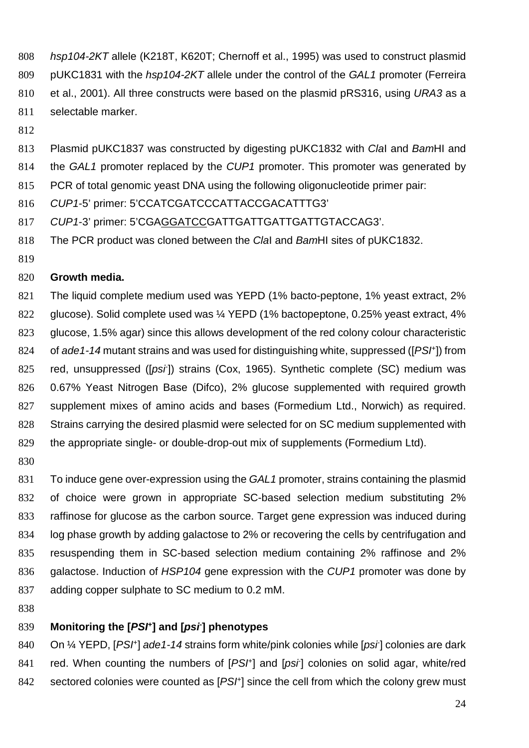- hsp104-2KT allele (K218T, K620T; Chernoff et al., 1995) was used to construct plasmid 809 pUKC1831 with the hsp104-2KT allele under the control of the GAL1 promoter (Ferreira et al., 2001). All three constructs were based on the plasmid pRS316, using URA3 as a selectable marker.
- 

813 Plasmid pUKC1837 was constructed by digesting pUKC1832 with ClaI and BamHI and

814 the GAL1 promoter replaced by the CUP1 promoter. This promoter was generated by

PCR of total genomic yeast DNA using the following oligonucleotide primer pair:

CUP1-5' primer: 5'CCATCGATCCCATTACCGACATTTG3'

CUP1-3' primer: 5'CGAGGATCCGATTGATTGATTGATTGTACCAG3'.

- 818 The PCR product was cloned between the ClaI and BamHI sites of pUKC1832.
- 

#### **Growth media.**

The liquid complete medium used was YEPD (1% bacto-peptone, 1% yeast extract, 2% glucose). Solid complete used was ¼ YEPD (1% bactopeptone, 0.25% yeast extract, 4% glucose, 1.5% agar) since this allows development of the red colony colour characteristic 824 of ade1-14 mutant strains and was used for distinguishing white, suppressed ( $[PSF]$ ) from 825 red, unsuppressed ([psi]) strains (Cox, 1965). Synthetic complete (SC) medium was 0.67% Yeast Nitrogen Base (Difco), 2% glucose supplemented with required growth supplement mixes of amino acids and bases (Formedium Ltd., Norwich) as required. Strains carrying the desired plasmid were selected for on SC medium supplemented with the appropriate single- or double-drop-out mix of supplements (Formedium Ltd).

831 To induce gene over-expression using the GAL1 promoter, strains containing the plasmid of choice were grown in appropriate SC-based selection medium substituting 2% raffinose for glucose as the carbon source. Target gene expression was induced during log phase growth by adding galactose to 2% or recovering the cells by centrifugation and resuspending them in SC-based selection medium containing 2% raffinose and 2% 836 galactose. Induction of HSP104 gene expression with the CUP1 promoter was done by adding copper sulphate to SC medium to 0.2 mM.

#### **Monitoring the [PSI<sup>+</sup> ] and [psi- ] phenotypes**

840 On 1/4 YEPD, [PSI<sup>+</sup>] ade 1-14 strains form white/pink colonies while [psi] colonies are dark 841 red. When counting the numbers of [PSI<sup>+</sup>] and [psi] colonies on solid agar, white/red sectored colonies were counted as  $[PSF]$  since the cell from which the colony grew must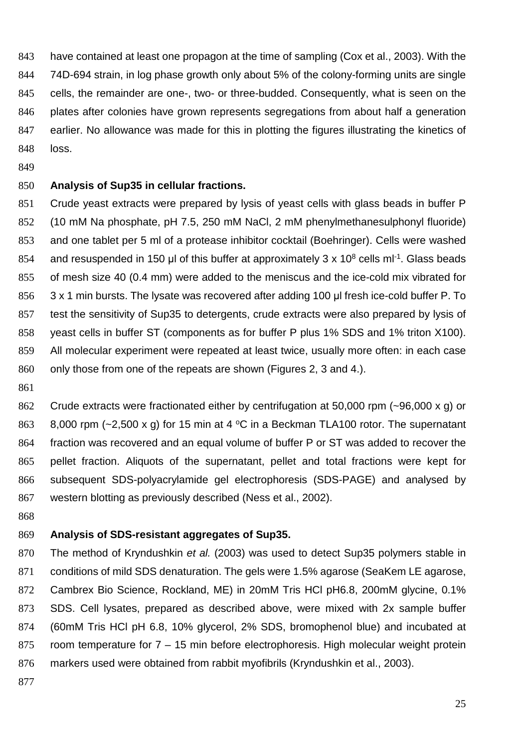have contained at least one propagon at the time of sampling (Cox et al., 2003). With the 74D-694 strain, in log phase growth only about 5% of the colony-forming units are single cells, the remainder are one-, two- or three-budded. Consequently, what is seen on the plates after colonies have grown represents segregations from about half a generation earlier. No allowance was made for this in plotting the figures illustrating the kinetics of loss.

#### **Analysis of Sup35 in cellular fractions.**

Crude yeast extracts were prepared by lysis of yeast cells with glass beads in buffer P (10 mM Na phosphate, pH 7.5, 250 mM NaCl, 2 mM phenylmethanesulphonyl fluoride) and one tablet per 5 ml of a protease inhibitor cocktail (Boehringer). Cells were washed 854 and resuspended in 150 µl of this buffer at approximately 3 x 10<sup>8</sup> cells ml<sup>-1</sup>. Glass beads of mesh size 40 (0.4 mm) were added to the meniscus and the ice-cold mix vibrated for 856 3 x 1 min bursts. The lysate was recovered after adding 100 µl fresh ice-cold buffer P. To test the sensitivity of Sup35 to detergents, crude extracts were also prepared by lysis of yeast cells in buffer ST (components as for buffer P plus 1% SDS and 1% triton X100). All molecular experiment were repeated at least twice, usually more often: in each case 860 only those from one of the repeats are shown (Figures 2, 3 and 4.).

Crude extracts were fractionated either by centrifugation at 50,000 rpm (~96,000 x g) or 863 8,000 rpm ( $\approx$ 2,500 x g) for 15 min at 4 °C in a Beckman TLA100 rotor. The supernatant fraction was recovered and an equal volume of buffer P or ST was added to recover the pellet fraction. Aliquots of the supernatant, pellet and total fractions were kept for subsequent SDS-polyacrylamide gel electrophoresis (SDS-PAGE) and analysed by western blotting as previously described (Ness et al., 2002).

#### **Analysis of SDS-resistant aggregates of Sup35.**

870 The method of Kryndushkin et al. (2003) was used to detect Sup35 polymers stable in conditions of mild SDS denaturation. The gels were 1.5% agarose (SeaKem LE agarose, Cambrex Bio Science, Rockland, ME) in 20mM Tris HCl pH6.8, 200mM glycine, 0.1% SDS. Cell lysates, prepared as described above, were mixed with 2x sample buffer (60mM Tris HCl pH 6.8, 10% glycerol, 2% SDS, bromophenol blue) and incubated at room temperature for 7 – 15 min before electrophoresis. High molecular weight protein markers used were obtained from rabbit myofibrils (Kryndushkin et al., 2003).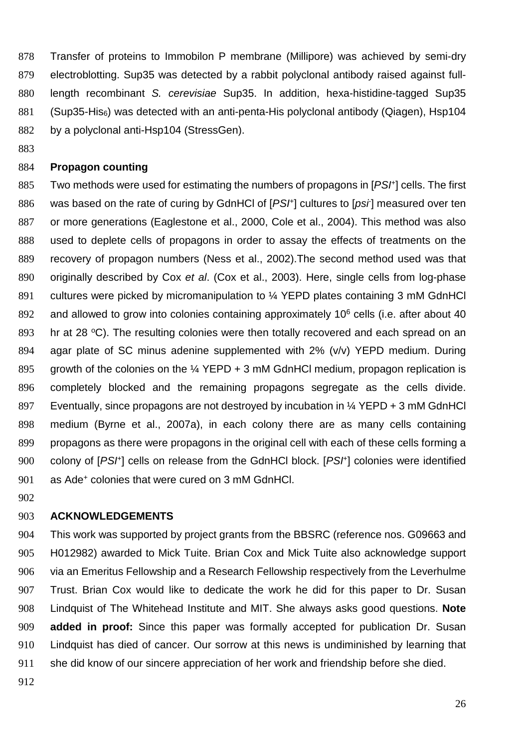Transfer of proteins to Immobilon P membrane (Millipore) was achieved by semi-dry electroblotting. Sup35 was detected by a rabbit polyclonal antibody raised against full-length recombinant S. cerevisiae Sup35. In addition, hexa-histidine-tagged Sup35 (Sup35-His6) was detected with an anti-penta-His polyclonal antibody (Qiagen), Hsp104 882 by a polyclonal anti-Hsp104 (StressGen).

#### **Propagon counting**

885 Two methods were used for estimating the numbers of propagons in  $[PSF]$  cells. The first 886 was based on the rate of curing by GdnHCl of  $[PSF]$  cultures to  $[psr]$  measured over ten or more generations (Eaglestone et al., 2000, Cole et al., 2004). This method was also used to deplete cells of propagons in order to assay the effects of treatments on the recovery of propagon numbers (Ness et al., 2002).The second method used was that 890 originally described by Cox et al. (Cox et al., 2003). Here, single cells from log-phase 891 cultures were picked by micromanipulation to 1/4 YEPD plates containing 3 mM GdnHCl 892 and allowed to grow into colonies containing approximately 10 $<sup>6</sup>$  cells (i.e. after about 40</sup> 893 br at 28  $\degree$ C). The resulting colonies were then totally recovered and each spread on an agar plate of SC minus adenine supplemented with 2% (v/v) YEPD medium. During 895 growth of the colonies on the  $\frac{1}{4}$  YEPD + 3 mM GdnHCl medium, propagon replication is completely blocked and the remaining propagons segregate as the cells divide. Eventually, since propagons are not destroyed by incubation in ¼ YEPD + 3 mM GdnHCl medium (Byrne et al., 2007a), in each colony there are as many cells containing propagons as there were propagons in the original cell with each of these cells forming a 900 colony of [PSH] cells on release from the GdnHCl block. [PSH] colonies were identified 901 as Ade<sup>+</sup> colonies that were cured on 3 mM GdnHCl.

#### **ACKNOWLEDGEMENTS**

This work was supported by project grants from the BBSRC (reference nos. G09663 and H012982) awarded to Mick Tuite. Brian Cox and Mick Tuite also acknowledge support via an Emeritus Fellowship and a Research Fellowship respectively from the Leverhulme Trust. Brian Cox would like to dedicate the work he did for this paper to Dr. Susan Lindquist of The Whitehead Institute and MIT. She always asks good questions. **Note added in proof:** Since this paper was formally accepted for publication Dr. Susan Lindquist has died of cancer. Our sorrow at this news is undiminished by learning that she did know of our sincere appreciation of her work and friendship before she died.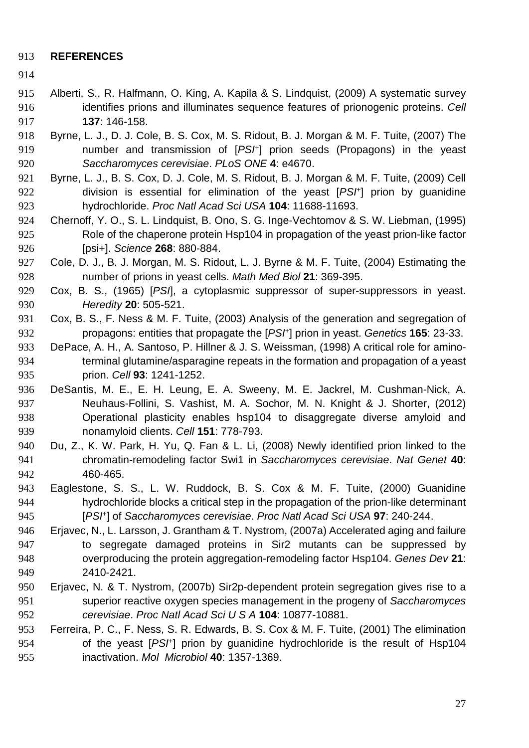#### **REFERENCES**

- 
- Alberti, S., R. Halfmann, O. King, A. Kapila & S. Lindquist, (2009) A systematic survey identifies prions and illuminates sequence features of prionogenic proteins. Cell **137**: 146-158.
- Byrne, L. J., D. J. Cole, B. S. Cox, M. S. Ridout, B. J. Morgan & M. F. Tuite, (2007) The 919 **In all incredent and transmission of**  $[PSF]$  **prion seeds (Propagons) in the yeast** Saccharomyces cerevisiae. PLoS ONE **4**: e4670.
- Byrne, L. J., B. S. Cox, D. J. Cole, M. S. Ridout, B. J. Morgan & M. F. Tuite, (2009) Cell division is essential for elimination of the yeast  $[PSF]$  prion by quanidine hydrochloride. Proc Natl Acad Sci USA **104**: 11688-11693.
- Chernoff, Y. O., S. L. Lindquist, B. Ono, S. G. Inge-Vechtomov & S. W. Liebman, (1995) Role of the chaperone protein Hsp104 in propagation of the yeast prion-like factor [psi+]. Science **268**: 880-884.
- Cole, D. J., B. J. Morgan, M. S. Ridout, L. J. Byrne & M. F. Tuite, (2004) Estimating the number of prions in yeast cells. Math Med Biol **21**: 369-395.
- Cox, B. S., (1965) [PSI], a cytoplasmic suppressor of super-suppressors in yeast. Heredity **20**: 505-521.
- Cox, B. S., F. Ness & M. F. Tuite, (2003) Analysis of the generation and segregation of propagons: entities that propagate the [PS<sup>†]</sup> prion in yeast. Genetics **165**: 23-33.
- 933 DePace, A. H., A. Santoso, P. Hillner & J. S. Weissman, (1998) A critical role for amino-terminal glutamine/asparagine repeats in the formation and propagation of a yeast prion. Cell **93**: 1241-1252.
- DeSantis, M. E., E. H. Leung, E. A. Sweeny, M. E. Jackrel, M. Cushman-Nick, A. Neuhaus-Follini, S. Vashist, M. A. Sochor, M. N. Knight & J. Shorter, (2012) Operational plasticity enables hsp104 to disaggregate diverse amyloid and nonamyloid clients. Cell **151**: 778-793.
- Du, Z., K. W. Park, H. Yu, Q. Fan & L. Li, (2008) Newly identified prion linked to the chromatin-remodeling factor Swi1 in Saccharomyces cerevisiae. Nat Genet **40**: 460-465.
- Eaglestone, S. S., L. W. Ruddock, B. S. Cox & M. F. Tuite, (2000) Guanidine hydrochloride blocks a critical step in the propagation of the prion-like determinant 945 [PSI<sup>+</sup>] of Saccharomyces cerevisiae. Proc Natl Acad Sci USA 97: 240-244.
- Erjavec, N., L. Larsson, J. Grantham & T. Nystrom, (2007a) Accelerated aging and failure to segregate damaged proteins in Sir2 mutants can be suppressed by overproducing the protein aggregation-remodeling factor Hsp104. Genes Dev **21**: 2410-2421.
- Erjavec, N. & T. Nystrom, (2007b) Sir2p-dependent protein segregation gives rise to a superior reactive oxygen species management in the progeny of Saccharomyces cerevisiae. Proc Natl Acad Sci U S A **104**: 10877-10881.

#### Ferreira, P. C., F. Ness, S. R. Edwards, B. S. Cox & M. F. Tuite, (2001) The elimination 954 of the yeast [PS<sup>+</sup>] prion by guanidine hydrochloride is the result of Hsp104 inactivation. Mol Microbiol **40**: 1357-1369.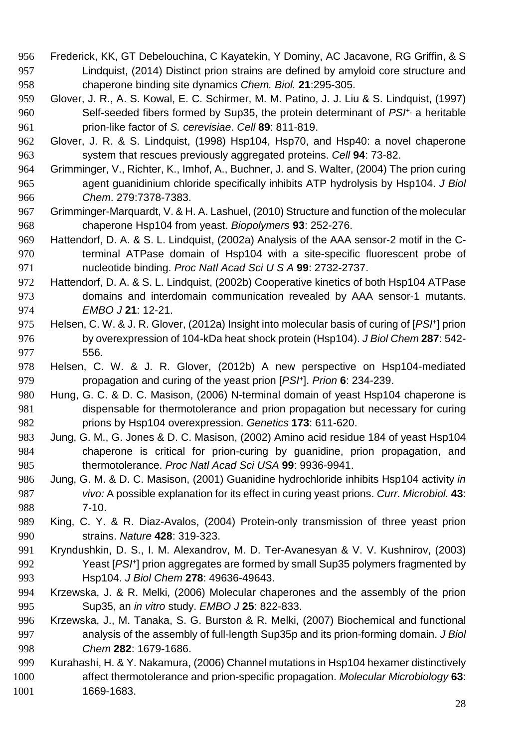- Frederick, KK, GT Debelouchina, C Kayatekin, Y Dominy, AC Jacavone, RG Griffin, & S Lindquist, (2014) Distinct prion strains are defined by amyloid core structure and chaperone binding site dynamics Chem. Biol. **21**:295-305.
- Glover, J. R., A. S. Kowal, E. C. Schirmer, M. M. Patino, J. J. Liu & S. Lindquist, (1997) 960 Self-seeded fibers formed by Sup35, the protein determinant of  $PSI<sup>+</sup>$ , a heritable prion-like factor of S. cerevisiae. Cell **89**: 811-819.
- Glover, J. R. & S. Lindquist, (1998) Hsp104, Hsp70, and Hsp40: a novel chaperone system that rescues previously aggregated proteins. Cell **94**: 73-82.
- Grimminger, V., Richter, K., Imhof, A., Buchner, J. and S. Walter, (2004) The prion curing agent guanidinium chloride specifically inhibits ATP hydrolysis by Hsp104. J Biol Chem. 279:7378-7383.
- Grimminger-Marquardt, V. & H. A. Lashuel, (2010) Structure and function of the molecular chaperone Hsp104 from yeast. Biopolymers **93**: 252-276.
- Hattendorf, D. A. & S. L. Lindquist, (2002a) Analysis of the AAA sensor-2 motif in the C-terminal ATPase domain of Hsp104 with a site-specific fluorescent probe of nucleotide binding. Proc Natl Acad Sci U S A **99**: 2732-2737.
- Hattendorf, D. A. & S. L. Lindquist, (2002b) Cooperative kinetics of both Hsp104 ATPase domains and interdomain communication revealed by AAA sensor-1 mutants. EMBO J **21**: 12-21.
- 975 Helsen, C. W. & J. R. Glover, (2012a) Insight into molecular basis of curing of [PS<sup>+</sup>] prion by overexpression of 104-kDa heat shock protein (Hsp104). J Biol Chem **287**: 542- 556.
- Helsen, C. W. & J. R. Glover, (2012b) A new perspective on Hsp104-mediated propagation and curing of the yeast prion [PSI<sup>+</sup>]. Prion 6: 234-239.
- Hung, G. C. & D. C. Masison, (2006) N-terminal domain of yeast Hsp104 chaperone is dispensable for thermotolerance and prion propagation but necessary for curing prions by Hsp104 overexpression. Genetics **173**: 611-620.
- Jung, G. M., G. Jones & D. C. Masison, (2002) Amino acid residue 184 of yeast Hsp104 chaperone is critical for prion-curing by guanidine, prion propagation, and thermotolerance. Proc Natl Acad Sci USA **99**: 9936-9941.
- Jung, G. M. & D. C. Masison, (2001) Guanidine hydrochloride inhibits Hsp104 activity in vivo: A possible explanation for its effect in curing yeast prions. Curr. Microbiol. **43**: 7-10.
- King, C. Y. & R. Diaz-Avalos, (2004) Protein-only transmission of three yeast prion strains. Nature **428**: 319-323.
- Kryndushkin, D. S., I. M. Alexandrov, M. D. Ter-Avanesyan & V. V. Kushnirov, (2003) 992 Yeast [PS<sup>+</sup>] prion aggregates are formed by small Sup35 polymers fragmented by Hsp104. J Biol Chem **278**: 49636-49643.
- Krzewska, J. & R. Melki, (2006) Molecular chaperones and the assembly of the prion Sup35, an in vitro study. EMBO J **25**: 822-833.
- Krzewska, J., M. Tanaka, S. G. Burston & R. Melki, (2007) Biochemical and functional 997 analysis of the assembly of full-length Sup35p and its prion-forming domain. J Biol Chem **282**: 1679-1686.
- Kurahashi, H. & Y. Nakamura, (2006) Channel mutations in Hsp104 hexamer distinctively affect thermotolerance and prion-specific propagation. Molecular Microbiology **63**: 1669-1683.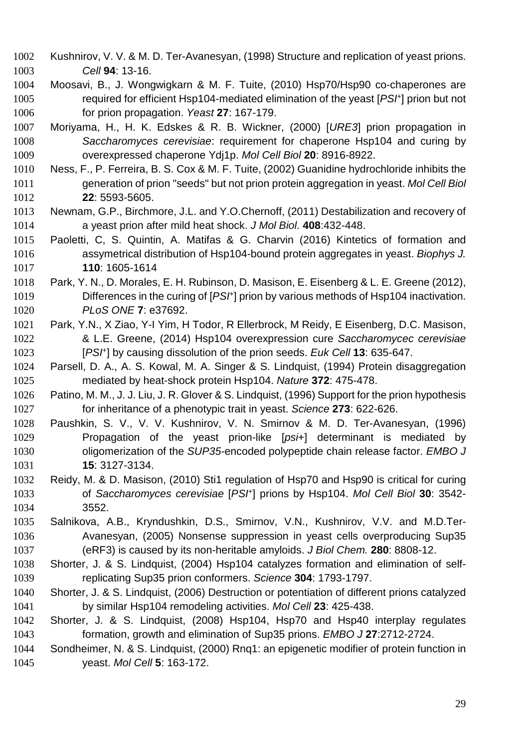- Kushnirov, V. V. & M. D. Ter-Avanesyan, (1998) Structure and replication of yeast prions. Cell **94**: 13-16.
- Moosavi, B., J. Wongwigkarn & M. F. Tuite, (2010) Hsp70/Hsp90 co-chaperones are 1005 required for efficient Hsp104-mediated elimination of the yeast [PSF] prion but not for prion propagation. Yeast **27**: 167-179.
- Moriyama, H., H. K. Edskes & R. B. Wickner, (2000) [URE3] prion propagation in Saccharomyces cerevisiae: requirement for chaperone Hsp104 and curing by overexpressed chaperone Ydj1p. Mol Cell Biol **20**: 8916-8922.
- Ness, F., P. Ferreira, B. S. Cox & M. F. Tuite, (2002) Guanidine hydrochloride inhibits the generation of prion "seeds" but not prion protein aggregation in yeast. Mol Cell Biol **22**: 5593-5605.
- [Newnam,](http://www.ncbi.nlm.nih.gov/pubmed/?term=Newnam%20GP%5BAuthor%5D&cauthor=true&cauthor_uid=21392508) G.P., [Birchmore, J.L.](http://www.ncbi.nlm.nih.gov/pubmed/?term=Newnam%20GP%5BAuthor%5D&cauthor=true&cauthor_uid=21392508) and Y.O.Chernoff, (2011) Destabilization and recovery of a yeast prion after mild heat shock. [J Mol](http://www.ncbi.nlm.nih.gov/pubmed/21392508) Biol. **408**:432-448.
- Paoletti, C, S. Quintin, A. Matifas & G. Charvin (2016) Kintetics of formation and assymetrical distribution of Hsp104-bound protein aggregates in yeast. Biophys J. **110**: 1605-1614
- Park, Y. N., D. Morales, E. H. Rubinson, D. Masison, E. Eisenberg & L. E. Greene (2012), 1019 **Differences in the curing of [PS**<sup>+</sup>] prion by various methods of Hsp104 inactivation. PLoS ONE **7**: e37692.
- Park, Y.N., X Ziao, Y-I Yim, H Todor, R Ellerbrock, M Reidy, E Eisenberg, D.C. Masison, & L.E. Greene, (2014) Hsp104 overexpression cure Saccharomycec cerevisiae 1023 **IDMI** [PSI<sup>+</sup>] by causing dissolution of the prion seeds. Euk Cell **13**: 635-647.
- Parsell, D. A., A. S. Kowal, M. A. Singer & S. Lindquist, (1994) Protein disaggregation mediated by heat-shock protein Hsp104. Nature **372**: 475-478.
- Patino, M. M., J. J. Liu, J. R. Glover & S. Lindquist, (1996) Support for the prion hypothesis for inheritance of a phenotypic trait in yeast. Science **273**: 622-626.
- Paushkin, S. V., V. V. Kushnirov, V. N. Smirnov & M. D. Ter-Avanesyan, (1996) Propagation of the yeast prion-like [psi+] determinant is mediated by 1030 oligomerization of the SUP35-encoded polypeptide chain release factor. EMBO J **15**: 3127-3134.
- Reidy, M. & D. Masison, (2010) Sti1 regulation of Hsp70 and Hsp90 is critical for curing 1033 of Saccharomyces cerevisiae [PS<sup>H</sup>] prions by Hsp104. Mol Cell Biol 30: 3542-3552.
- Salnikova, A.B., Kryndushkin, D.S., Smirnov, V.N., Kushnirov, V.V. and M.D.Ter-Avanesyan, (2005) Nonsense suppression in yeast cells overproducing Sup35 (eRF3) is caused by its non-heritable amyloids. J Biol Chem. **280**: 8808-12.
- Shorter, J. & S. Lindquist, (2004) Hsp104 catalyzes formation and elimination of self-replicating Sup35 prion conformers. Science **304**: 1793-1797.
- Shorter, J. & S. Lindquist, (2006) Destruction or potentiation of different prions catalyzed by similar Hsp104 remodeling activities. Mol Cell **23**: 425-438.
- Shorter, J. & S. Lindquist, (2008) Hsp104, Hsp70 and Hsp40 interplay regulates formation, growth and elimination of Sup35 prions. EMBO J **27**:2712-2724.
- Sondheimer, N. & S. Lindquist, (2000) Rnq1: an epigenetic modifier of protein function in yeast. Mol Cell **5**: 163-172.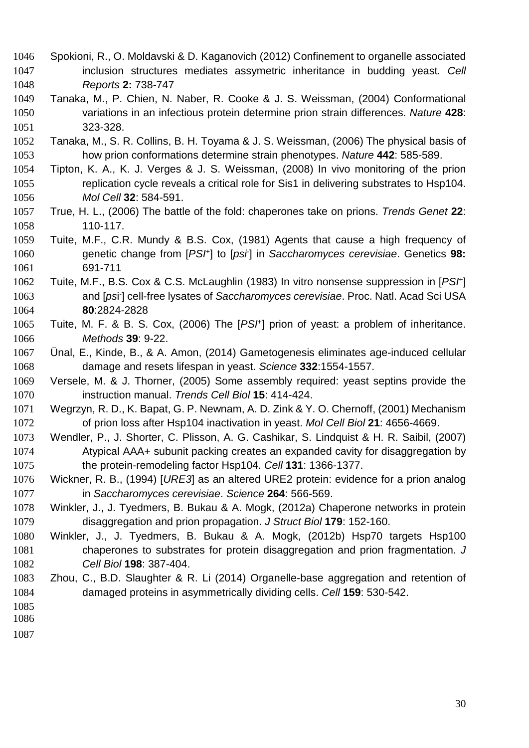- Spokioni, R., O. Moldavski & D. Kaganovich (2012) Confinement to organelle associated inclusion structures mediates assymetric inheritance in budding yeast. Cell Reports **2:** 738-747
- Tanaka, M., P. Chien, N. Naber, R. Cooke & J. S. Weissman, (2004) Conformational variations in an infectious protein determine prion strain differences. Nature **428**: 323-328.
- Tanaka, M., S. R. Collins, B. H. Toyama & J. S. Weissman, (2006) The physical basis of how prion conformations determine strain phenotypes. Nature **442**: 585-589.
- Tipton, K. A., K. J. Verges & J. S. Weissman, (2008) In vivo monitoring of the prion replication cycle reveals a critical role for Sis1 in delivering substrates to Hsp104. Mol Cell **32**: 584-591.
- True, H. L., (2006) The battle of the fold: chaperones take on prions. Trends Genet **22**: 110-117.
- Tuite, M.F., C.R. Mundy & B.S. Cox, (1981) Agents that cause a high frequency of 1060 genetic change from [PS<sup>H</sup>] to [psi] in Saccharomyces cerevisiae. Genetics 98: 691-711
- 1062 Tuite, M.F., B.S. Cox & C.S. McLaughlin (1983) In vitro nonsense suppression in [PS/<sup>+</sup>] 1063 and [psi<sup>-</sup>] cell-free lysates of Saccharomyces cerevisiae. Proc. Natl. Acad Sci USA **80**:2824-2828
- 1065 Tuite, M. F. & B. S. Cox, (2006) The [PS<sup>H</sup>] prion of yeast: a problem of inheritance. Methods **39**: 9-22.
- Ünal, E., Kinde, B., & A. Amon, (2014) Gametogenesis eliminates age-induced cellular damage and resets lifespan in yeast. Science **332**:1554-1557.
- Versele, M. & J. Thorner, (2005) Some assembly required: yeast septins provide the instruction manual. Trends Cell Biol **15**: 414-424.
- Wegrzyn, R. D., K. Bapat, G. P. Newnam, A. D. Zink & Y. O. Chernoff, (2001) Mechanism of prion loss after Hsp104 inactivation in yeast. Mol Cell Biol **21**: 4656-4669.
- Wendler, P., J. Shorter, C. Plisson, A. G. Cashikar, S. Lindquist & H. R. Saibil, (2007) Atypical AAA+ subunit packing creates an expanded cavity for disaggregation by the protein-remodeling factor Hsp104. Cell **131**: 1366-1377.
- Wickner, R. B., (1994) [URE3] as an altered URE2 protein: evidence for a prion analog in Saccharomyces cerevisiae. Science **264**: 566-569.
- Winkler, J., J. Tyedmers, B. Bukau & A. Mogk, (2012a) Chaperone networks in protein disaggregation and prion propagation. J Struct Biol **179**: 152-160.
- Winkler, J., J. Tyedmers, B. Bukau & A. Mogk, (2012b) Hsp70 targets Hsp100 chaperones to substrates for protein disaggregation and prion fragmentation. J Cell Biol **198**: 387-404.
- Zhou, C., B.D. Slaughter & R. Li (2014) Organelle-base aggregation and retention of damaged proteins in asymmetrically dividing cells. Cell **159**: 530-542.
- 
- 
-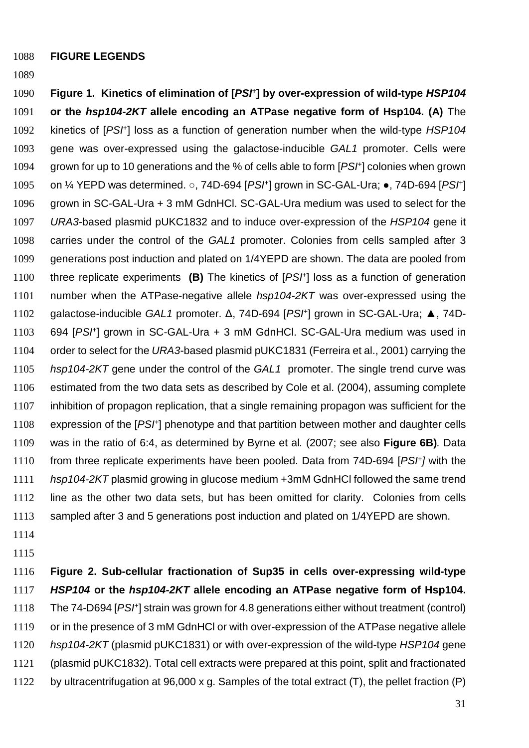**FIGURE LEGENDS**

**Figure 1. Kinetics of elimination of [PSI<sup>+</sup> ] by over-expression of wild-type HSP104 or the hsp104-2KT allele encoding an ATPase negative form of Hsp104. (A)** The 1092 kinetics of [PSI<sup>+</sup>] loss as a function of generation number when the wild-type HSP104 gene was over-expressed using the galactose-inducible GAL1 promoter. Cells were 1094 grown for up to 10 generations and the % of cells able to form  $[PSF]$  colonies when grown 1095 on  $\frac{1}{4}$  YEPD was determined.  $\circ$ , 74D-694 [PS<sup>H</sup>] grown in SC-GAL-Ura;  $\bullet$ , 74D-694 [PSH] grown in SC-GAL-Ura + 3 mM GdnHCl. SC-GAL-Ura medium was used to select for the URA3-based plasmid pUKC1832 and to induce over-expression of the HSP104 gene it carries under the control of the GAL1 promoter. Colonies from cells sampled after 3 generations post induction and plated on 1/4YEPD are shown. The data are pooled from 1100 three replicate experiments (B) The kinetics of [PS<sup>H</sup>] loss as a function of generation 1101 number when the ATPase-negative allele hsp104-2KT was over-expressed using the 1102 galactose-inducible GAL1 promoter. Δ, 74D-694 [PS/<sup>+</sup>] grown in SC-GAL-Ura; **A**, 74D-1103 694 [PSH] grown in SC-GAL-Ura + 3 mM GdnHCl. SC-GAL-Ura medium was used in 1104 order to select for the URA3-based plasmid pUKC1831 (Ferreira et al., 2001) carrying the 1105 hsp104-2KT gene under the control of the GAL1 promoter. The single trend curve was estimated from the two data sets as described by Cole et al. (2004), assuming complete inhibition of propagon replication, that a single remaining propagon was sufficient for the 1108 expression of the  $[PSF]$  phenotype and that partition between mother and daughter cells was in the ratio of 6:4, as determined by Byrne et al. (2007; see also **Figure 6B)**. Data 1110 from three replicate experiments have been pooled. Data from  $74D-694$  [PSI+] with the hsp104-2KT plasmid growing in glucose medium +3mM GdnHCl followed the same trend line as the other two data sets, but has been omitted for clarity. Colonies from cells sampled after 3 and 5 generations post induction and plated on 1/4YEPD are shown.

- 
- 

**Figure 2. Sub-cellular fractionation of Sup35 in cells over-expressing wild-type HSP104 or the hsp104-2KT allele encoding an ATPase negative form of Hsp104.** 1118 The 74-D694 [PSH] strain was grown for 4.8 generations either without treatment (control) 1119 or in the presence of 3 mM GdnHCl or with over-expression of the ATPase negative allele 1120 hsp104-2KT (plasmid pUKC1831) or with over-expression of the wild-type HSP104 gene (plasmid pUKC1832). Total cell extracts were prepared at this point, split and fractionated by ultracentrifugation at 96,000 x g. Samples of the total extract (T), the pellet fraction (P)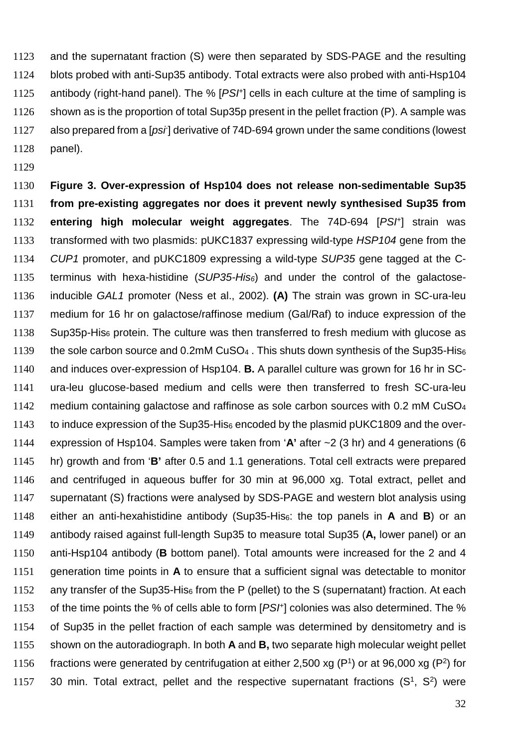and the supernatant fraction (S) were then separated by SDS-PAGE and the resulting blots probed with anti-Sup35 antibody. Total extracts were also probed with anti-Hsp104 1125 antibody (right-hand panel). The %  $[PSF]$  cells in each culture at the time of sampling is shown as is the proportion of total Sup35p present in the pellet fraction (P). A sample was 1127 also prepared from a [psi] derivative of 74D-694 grown under the same conditions (lowest panel).

**Figure 3. Over-expression of Hsp104 does not release non-sedimentable Sup35 from pre-existing aggregates nor does it prevent newly synthesised Sup35 from entering high molecular weight aggregates**. The 74D-694 [PSH] strain was transformed with two plasmids: pUKC1837 expressing wild-type HSP104 gene from the CUP1 promoter, and pUKC1809 expressing a wild-type SUP35 gene tagged at the C-1135 terminus with hexa-histidine (SUP35-His<sub>6</sub>) and under the control of the galactose-inducible GAL1 promoter (Ness et al., 2002). **(A)** The strain was grown in SC-ura-leu medium for 16 hr on galactose/raffinose medium (Gal/Raf) to induce expression of the Sup35p-His<sub>6</sub> protein. The culture was then transferred to fresh medium with glucose as 1139 the sole carbon source and 0.2mM CuSO<sub>4</sub>. This shuts down synthesis of the Sup35-His<sub>6</sub> and induces over-expression of Hsp104. **B.** A parallel culture was grown for 16 hr in SC-ura-leu glucose-based medium and cells were then transferred to fresh SC-ura-leu medium containing galactose and raffinose as sole carbon sources with 0.2 mM CuSO<sup>4</sup> 1143 to induce expression of the Sup35-His<sub>6</sub> encoded by the plasmid pUKC1809 and the over-expression of Hsp104. Samples were taken from '**A'** after ~2 (3 hr) and 4 generations (6 hr) growth and from '**B'** after 0.5 and 1.1 generations. Total cell extracts were prepared and centrifuged in aqueous buffer for 30 min at 96,000 xg. Total extract, pellet and supernatant (S) fractions were analysed by SDS-PAGE and western blot analysis using either an anti-hexahistidine antibody (Sup35-His6: the top panels in **A** and **B**) or an antibody raised against full-length Sup35 to measure total Sup35 (**A,** lower panel) or an anti-Hsp104 antibody (**B** bottom panel). Total amounts were increased for the 2 and 4 generation time points in **A** to ensure that a sufficient signal was detectable to monitor 1152 any transfer of the Sup35-His<sub>6</sub> from the P (pellet) to the S (supernatant) fraction. At each 1153 of the time points the % of cells able to form  $[PSF]$  colonies was also determined. The % of Sup35 in the pellet fraction of each sample was determined by densitometry and is shown on the autoradiograph. In both **A** and **B,** two separate high molecular weight pellet 1156 fractions were generated by centrifugation at either 2,500 xg ( $P<sup>1</sup>$ ) or at 96,000 xg ( $P<sup>2</sup>$ ) for 1157 30 min. Total extract, pellet and the respective supernatant fractions  $(S^1, S^2)$  were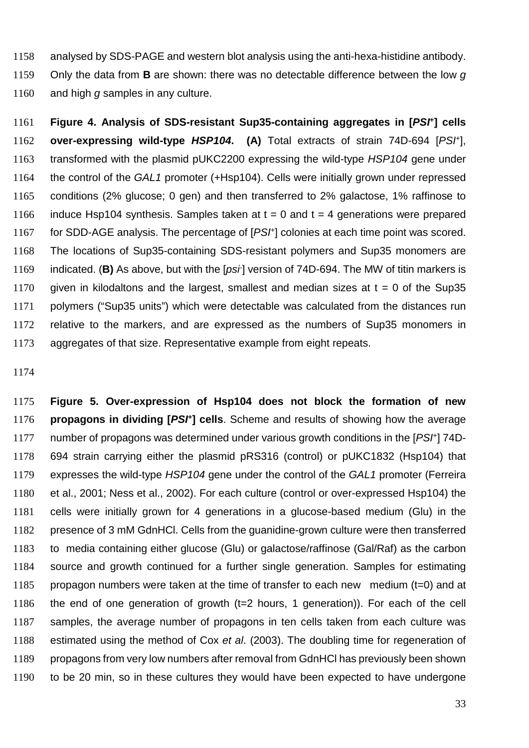analysed by SDS-PAGE and western blot analysis using the anti-hexa-histidine antibody.

Only the data from **B** are shown: there was no detectable difference between the low g 1160 and high g samples in any culture.

**Figure 4. Analysis of SDS-resistant Sup35-containing aggregates in [PSI<sup>+</sup> ] cells over-expressing wild-type HSP104.** (A) Total extracts of strain 74D-694 [PSH], 1163 transformed with the plasmid pUKC2200 expressing the wild-type HSP104 gene under the control of the GAL1 promoter (+Hsp104). Cells were initially grown under repressed conditions (2% glucose; 0 gen) and then transferred to 2% galactose, 1% raffinose to 1166 induce Hsp104 synthesis. Samples taken at  $t = 0$  and  $t = 4$  generations were prepared 1167 for SDD-AGE analysis. The percentage of  $[PSF]$  colonies at each time point was scored. The locations of Sup35-containing SDS-resistant polymers and Sup35 monomers are 1169 indicated. (**B)** As above, but with the [*psi*-] version of 74D-694. The MW of titin markers is 1170 given in kilodaltons and the largest, smallest and median sizes at  $t = 0$  of the Sup35 polymers ("Sup35 units") which were detectable was calculated from the distances run relative to the markers, and are expressed as the numbers of Sup35 monomers in aggregates of that size. Representative example from eight repeats.

**Figure 5. Over-expression of Hsp104 does not block the formation of new propagons in dividing [PSI<sup>+</sup> ] cells**. Scheme and results of showing how the average 1177 number of propagons was determined under various growth conditions in the  $[PSF]$  74D-694 strain carrying either the plasmid pRS316 (control) or pUKC1832 (Hsp104) that 1179 expresses the wild-type HSP104 gene under the control of the GAL1 promoter (Ferreira et al., 2001; Ness et al., 2002). For each culture (control or over-expressed Hsp104) the cells were initially grown for 4 generations in a glucose-based medium (Glu) in the presence of 3 mM GdnHCl. Cells from the guanidine-grown culture were then transferred to media containing either glucose (Glu) or galactose/raffinose (Gal/Raf) as the carbon source and growth continued for a further single generation. Samples for estimating propagon numbers were taken at the time of transfer to each new medium (t=0) and at the end of one generation of growth (t=2 hours, 1 generation)). For each of the cell samples, the average number of propagons in ten cells taken from each culture was 1188 estimated using the method of Cox et al. (2003). The doubling time for regeneration of propagons from very low numbers after removal from GdnHCl has previously been shown to be 20 min, so in these cultures they would have been expected to have undergone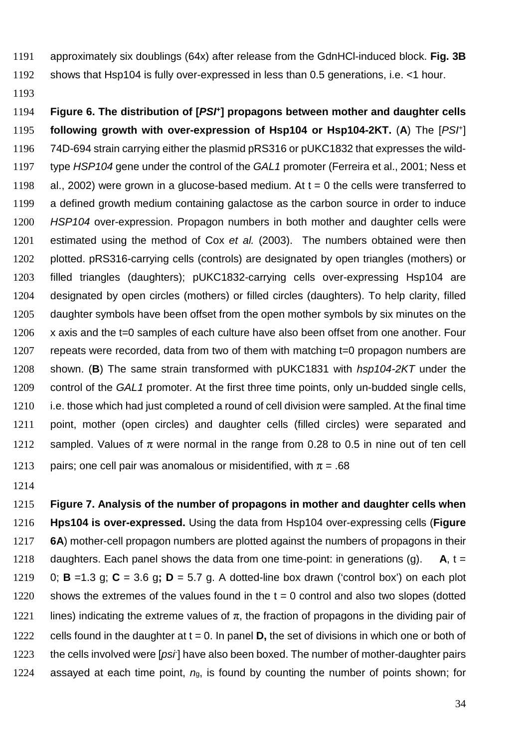- 1191 approximately six doublings (64x) after release from the GdnHCl-induced block. **Fig. 3B**
- 1192 shows that Hsp104 is fully over-expressed in less than 0.5 generations, i.e. <1 hour.
- 1193

**Figure 6. The distribution of [PSI<sup>+</sup>** 1194 **] propagons between mother and daughter cells following growth with over-expression of Hsp104 or Hsp104-2KT. (A) The [PSH]** 1196 74D-694 strain carrying either the plasmid pRS316 or pUKC1832 that expresses the wild-1197 type HSP104 gene under the control of the GAL1 promoter (Ferreira et al., 2001; Ness et 1198 al., 2002) were grown in a glucose-based medium. At  $t = 0$  the cells were transferred to 1199 a defined growth medium containing galactose as the carbon source in order to induce 1200 HSP104 over-expression. Propagon numbers in both mother and daughter cells were 1201 estimated using the method of Cox et al. (2003). The numbers obtained were then 1202 plotted. pRS316-carrying cells (controls) are designated by open triangles (mothers) or 1203 filled triangles (daughters); pUKC1832-carrying cells over-expressing Hsp104 are 1204 designated by open circles (mothers) or filled circles (daughters). To help clarity, filled 1205 daughter symbols have been offset from the open mother symbols by six minutes on the 1206 x axis and the t=0 samples of each culture have also been offset from one another. Four 1207 repeats were recorded, data from two of them with matching t=0 propagon numbers are 1208 shown. (**B**) The same strain transformed with pUKC1831 with hsp104-2KT under the 1209 control of the GAL1 promoter. At the first three time points, only un-budded single cells, 1210 i.e. those which had just completed a round of cell division were sampled. At the final time 1211 point, mother (open circles) and daughter cells (filled circles) were separated and 1212 sampled. Values of  $\pi$  were normal in the range from 0.28 to 0.5 in nine out of ten cell 1213 pairs; one cell pair was anomalous or misidentified, with  $\pi = .68$ 

1214

1215 **Figure 7. Analysis of the number of propagons in mother and daughter cells when** 1216 **Hps104 is over-expressed.** Using the data from Hsp104 over-expressing cells (**Figure** 1217 **6A**) mother-cell propagon numbers are plotted against the numbers of propagons in their 1218 daughters. Each panel shows the data from one time-point: in generations (g).  $A_1 =$ 1219 0; **B** =1.3 g; **C** = 3.6 g**; D** = 5.7 g. A dotted-line box drawn ('control box') on each plot 1220 shows the extremes of the values found in the  $t = 0$  control and also two slopes (dotted 1221 lines) indicating the extreme values of  $\pi$ , the fraction of propagons in the dividing pair of 1222 cells found in the daughter at t = 0. In panel **D,** the set of divisions in which one or both of 1223 the cells involved were  $[psi]$  have also been boxed. The number of mother-daughter pairs 1224 assayed at each time point,  $n<sub>g</sub>$ , is found by counting the number of points shown; for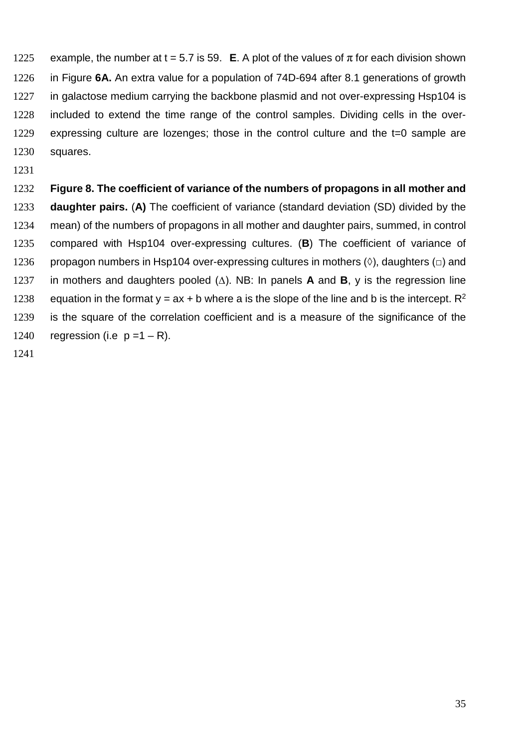1225 example, the number at t = 5.7 is 59. **E**. A plot of the values of  $\pi$  for each division shown in Figure **6A.** An extra value for a population of 74D-694 after 8.1 generations of growth in galactose medium carrying the backbone plasmid and not over-expressing Hsp104 is included to extend the time range of the control samples. Dividing cells in the over-expressing culture are lozenges; those in the control culture and the t=0 sample are squares.

#### **Figure 8. The coefficient of variance of the numbers of propagons in all mother and**

**daughter pairs.** (**A)** The coefficient of variance (standard deviation (SD) divided by the mean) of the numbers of propagons in all mother and daughter pairs, summed, in control compared with Hsp104 over-expressing cultures. (**B**) The coefficient of variance of 1236 propagon numbers in Hsp104 over-expressing cultures in mothers  $(\Diamond)$ , daughters  $(\Box)$  and in mothers and daughters pooled (∆). NB: In panels **A** and **B**, y is the regression line 1238 equation in the format y = ax + b where a is the slope of the line and b is the intercept.  $\mathbb{R}^2$ is the square of the correlation coefficient and is a measure of the significance of the 1240 regression (i.e  $p = 1 - R$ ).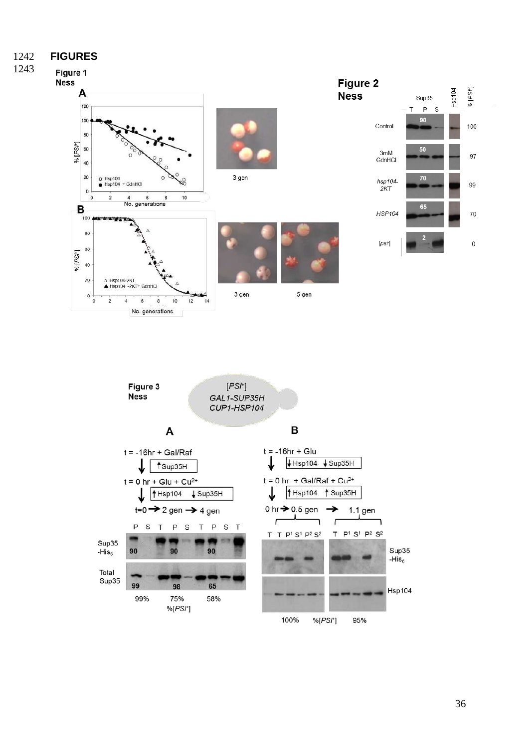**FIGURES**





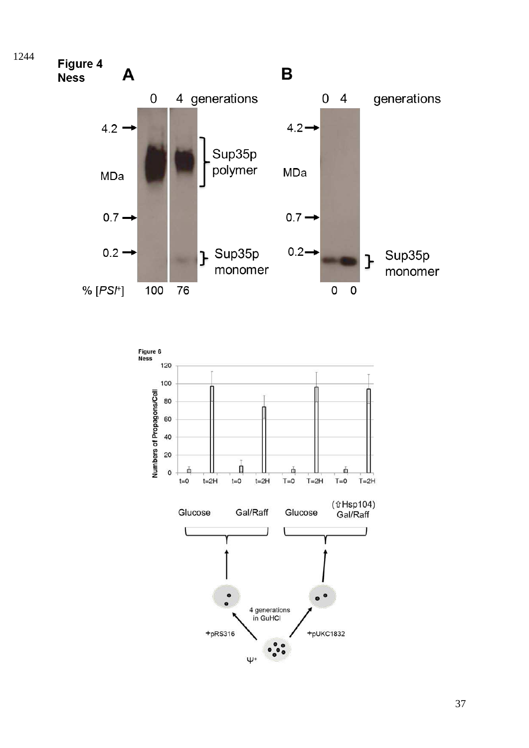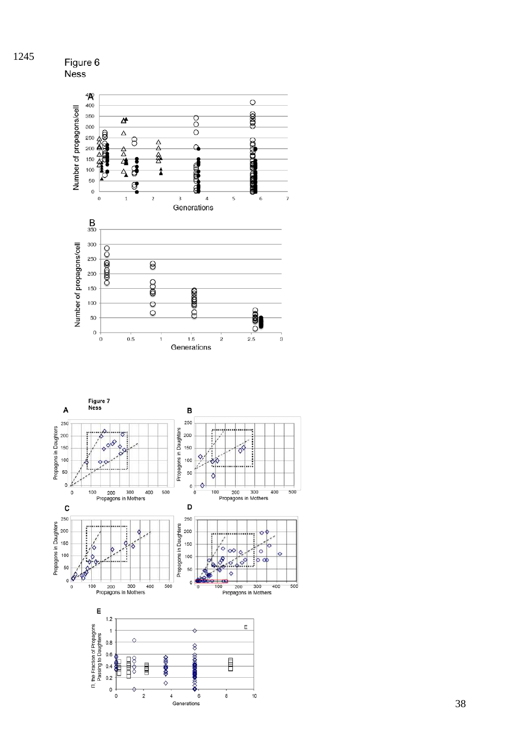

![](_page_38_Figure_1.jpeg)

![](_page_38_Figure_2.jpeg)

Figure 6<br>Ness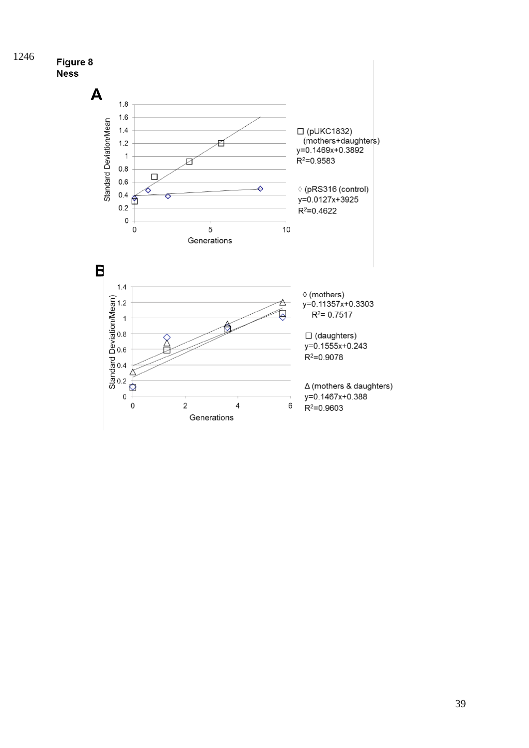![](_page_39_Figure_0.jpeg)